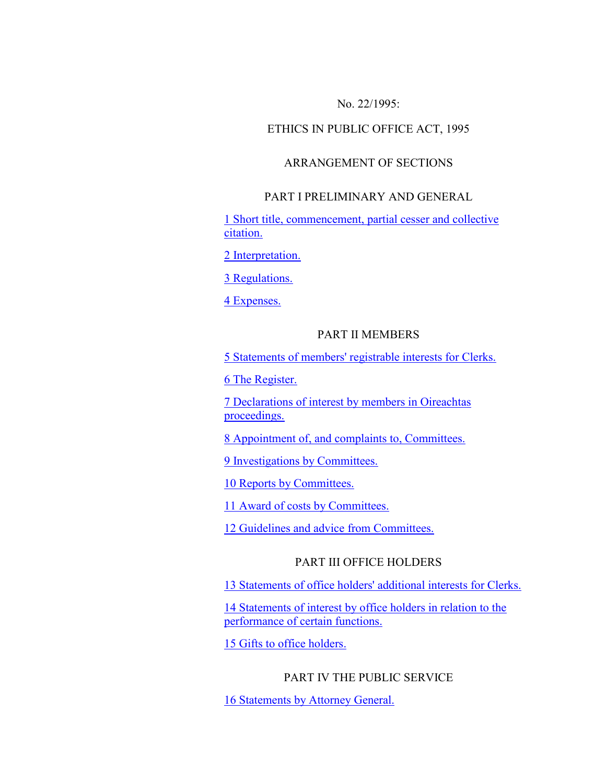### No. 22/1995:

#### ETHICS IN PUBLIC OFFICE ACT, 1995

### ARRANGEMENT OF SECTIONS

### PART I PRELIMINARY AND GENERAL

[1 Short title, commencement, partial cesser and collective](http://www.irishstatutebook.ie/1995/en/act/pub/0022/sec0001.html#zza22y1995s1)  [citation.](http://www.irishstatutebook.ie/1995/en/act/pub/0022/sec0001.html#zza22y1995s1)

[2 Interpretation.](http://www.irishstatutebook.ie/1995/en/act/pub/0022/sec0002.html#zza22y1995s2)

[3 Regulations.](http://www.irishstatutebook.ie/1995/en/act/pub/0022/sec0003.html#zza22y1995s3)

[4 Expenses.](http://www.irishstatutebook.ie/1995/en/act/pub/0022/sec0004.html#zza22y1995s4)

### PART II MEMBERS

[5 Statements of members' registrable interests for Clerks.](http://www.irishstatutebook.ie/1995/en/act/pub/0022/sec0005.html#zza22y1995s5)

[6 The Register.](http://www.irishstatutebook.ie/1995/en/act/pub/0022/sec0006.html#zza22y1995s6)

[7 Declarations of interest by members in Oireachtas](http://www.irishstatutebook.ie/1995/en/act/pub/0022/sec0007.html#zza22y1995s7)  [proceedings.](http://www.irishstatutebook.ie/1995/en/act/pub/0022/sec0007.html#zza22y1995s7)

[8 Appointment of, and complaints to, Committees.](http://www.irishstatutebook.ie/1995/en/act/pub/0022/sec0008.html#zza22y1995s8)

[9 Investigations by Committees.](http://www.irishstatutebook.ie/1995/en/act/pub/0022/sec0009.html#zza22y1995s9)

[10 Reports by Committees.](http://www.irishstatutebook.ie/1995/en/act/pub/0022/sec0010.html#zza22y1995s10)

[11 Award of costs by Committees.](http://www.irishstatutebook.ie/1995/en/act/pub/0022/sec0011.html#zza22y1995s11)

[12 Guidelines and advice from Committees.](http://www.irishstatutebook.ie/1995/en/act/pub/0022/sec0012.html#zza22y1995s12)

## PART III OFFICE HOLDERS

[13 Statements of office holders' additional interests for Clerks.](http://www.irishstatutebook.ie/1995/en/act/pub/0022/sec0013.html#zza22y1995s13)

[14 Statements of interest by office holders in relation to the](http://www.irishstatutebook.ie/1995/en/act/pub/0022/sec0014.html#zza22y1995s14)  [performance of certain functions.](http://www.irishstatutebook.ie/1995/en/act/pub/0022/sec0014.html#zza22y1995s14)

[15 Gifts to office holders.](http://www.irishstatutebook.ie/1995/en/act/pub/0022/sec0015.html#zza22y1995s15)

### PART IV THE PUBLIC SERVICE

[16 Statements by Attorney General.](http://www.irishstatutebook.ie/1995/en/act/pub/0022/sec0016.html#zza22y1995s16)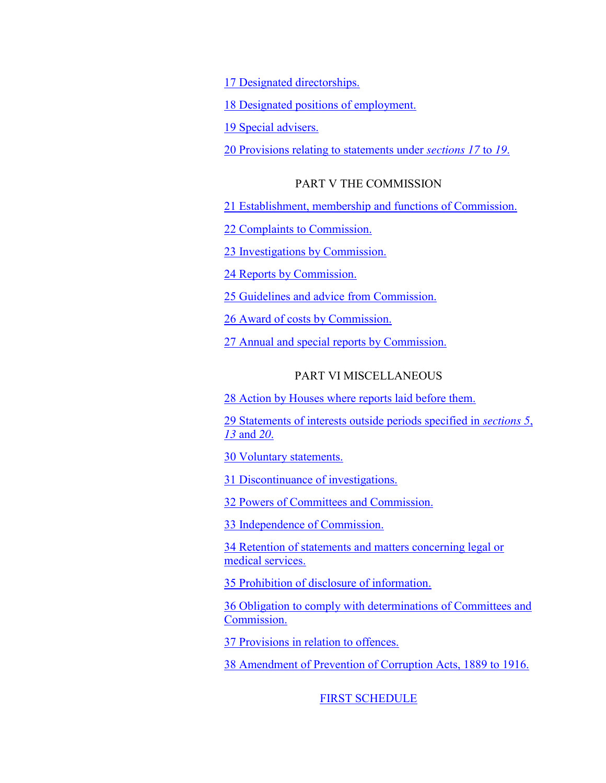[17 Designated directorships.](http://www.irishstatutebook.ie/1995/en/act/pub/0022/sec0017.html#zza22y1995s17)

[18 Designated positions of employment.](http://www.irishstatutebook.ie/1995/en/act/pub/0022/sec0018.html#zza22y1995s18)

[19 Special advisers.](http://www.irishstatutebook.ie/1995/en/act/pub/0022/sec0019.html#zza22y1995s19)

[20 Provisions relating to statements under](http://www.irishstatutebook.ie/1995/en/act/pub/0022/sec0020.html#zza22y1995s20) *sections 17* to *19*.

#### PART V THE COMMISSION

[21 Establishment, membership and functions of Commission.](http://www.irishstatutebook.ie/1995/en/act/pub/0022/sec0021.html#zza22y1995s21)

[22 Complaints to Commission.](http://www.irishstatutebook.ie/1995/en/act/pub/0022/sec0022.html#zza22y1995s22)

[23 Investigations by Commission.](http://www.irishstatutebook.ie/1995/en/act/pub/0022/sec0023.html#zza22y1995s23)

[24 Reports by Commission.](http://www.irishstatutebook.ie/1995/en/act/pub/0022/sec0024.html#zza22y1995s24)

[25 Guidelines and advice from Commission.](http://www.irishstatutebook.ie/1995/en/act/pub/0022/sec0025.html#zza22y1995s25)

[26 Award of costs by Commission.](http://www.irishstatutebook.ie/1995/en/act/pub/0022/sec0026.html#zza22y1995s26)

[27 Annual and special reports by Commission.](http://www.irishstatutebook.ie/1995/en/act/pub/0022/sec0027.html#zza22y1995s27)

## PART VI MISCELLANEOUS

[28 Action by Houses where reports laid before them.](http://www.irishstatutebook.ie/1995/en/act/pub/0022/sec0028.html#zza22y1995s28)

[29 Statements of interests outside periods specified in](http://www.irishstatutebook.ie/1995/en/act/pub/0022/sec0029.html#zza22y1995s29) *sections 5*, *13* [and](http://www.irishstatutebook.ie/1995/en/act/pub/0022/sec0029.html#zza22y1995s29) *20*.

[30 Voluntary statements.](http://www.irishstatutebook.ie/1995/en/act/pub/0022/sec0030.html#zza22y1995s30)

[31 Discontinuance of investigations.](http://www.irishstatutebook.ie/1995/en/act/pub/0022/sec0031.html#zza22y1995s31)

[32 Powers of Committees and Commission.](http://www.irishstatutebook.ie/1995/en/act/pub/0022/sec0032.html#zza22y1995s32)

[33 Independence of Commission.](http://www.irishstatutebook.ie/1995/en/act/pub/0022/sec0033.html#zza22y1995s33)

[34 Retention of statements and matters concerning legal or](http://www.irishstatutebook.ie/1995/en/act/pub/0022/sec0034.html#zza22y1995s34)  [medical services.](http://www.irishstatutebook.ie/1995/en/act/pub/0022/sec0034.html#zza22y1995s34)

[35 Prohibition of disclosure of information.](http://www.irishstatutebook.ie/1995/en/act/pub/0022/sec0035.html#zza22y1995s35)

[36 Obligation to comply with determinations of Committees and](http://www.irishstatutebook.ie/1995/en/act/pub/0022/sec0036.html#zza22y1995s36)  [Commission.](http://www.irishstatutebook.ie/1995/en/act/pub/0022/sec0036.html#zza22y1995s36)

[37 Provisions in relation to offences.](http://www.irishstatutebook.ie/1995/en/act/pub/0022/sec0037.html#zza22y1995s37)

[38 Amendment of Prevention of Corruption Acts, 1889 to 1916.](http://www.irishstatutebook.ie/1995/en/act/pub/0022/sec0038.html#zza22y1995s38)

[FIRST SCHEDULE](http://www.irishstatutebook.ie/1995/en/act/pub/0022/gen_7.html#gen_7)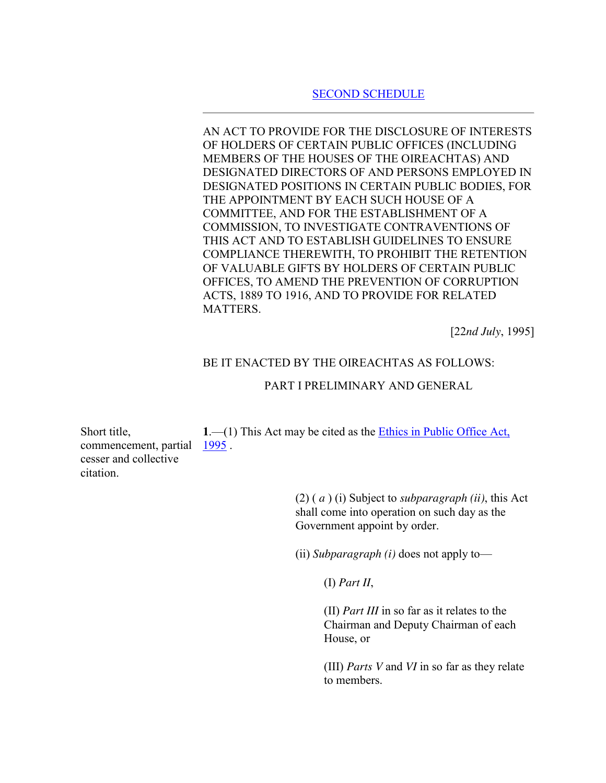### [SECOND SCHEDULE](http://www.irishstatutebook.ie/1995/en/act/pub/0022/gen_8.html#gen_8)

AN ACT TO PROVIDE FOR THE DISCLOSURE OF INTERESTS OF HOLDERS OF CERTAIN PUBLIC OFFICES (INCLUDING MEMBERS OF THE HOUSES OF THE OIREACHTAS) AND DESIGNATED DIRECTORS OF AND PERSONS EMPLOYED IN DESIGNATED POSITIONS IN CERTAIN PUBLIC BODIES, FOR THE APPOINTMENT BY EACH SUCH HOUSE OF A COMMITTEE, AND FOR THE ESTABLISHMENT OF A COMMISSION, TO INVESTIGATE CONTRAVENTIONS OF THIS ACT AND TO ESTABLISH GUIDELINES TO ENSURE COMPLIANCE THEREWITH, TO PROHIBIT THE RETENTION OF VALUABLE GIFTS BY HOLDERS OF CERTAIN PUBLIC OFFICES, TO AMEND THE PREVENTION OF CORRUPTION ACTS, 1889 TO 1916, AND TO PROVIDE FOR RELATED MATTERS.

[22*nd July*, 1995]

### BE IT ENACTED BY THE OIREACHTAS AS FOLLOWS:

#### PART I PRELIMINARY AND GENERAL

Short title, commencement, partial cesser and collective citation. **1**.—(1) This Act may be cited as the [Ethics in Public Office Act,](http://www.irishstatutebook.ie/1995/en/act/pub/0022/index.html#zza22y1995)  [1995](http://www.irishstatutebook.ie/1995/en/act/pub/0022/index.html#zza22y1995) .

> (2) ( *a* ) (i) Subject to *subparagraph (ii)*, this Act shall come into operation on such day as the Government appoint by order.

(ii) *Subparagraph (i)* does not apply to—

(I) *Part II*,

(II) *Part III* in so far as it relates to the Chairman and Deputy Chairman of each House, or

(III) *Parts V* and *VI* in so far as they relate to members.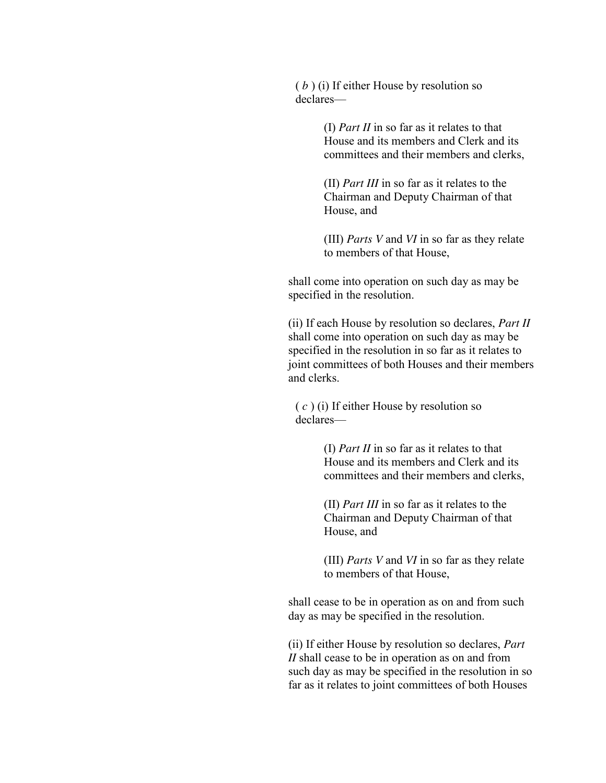( *b* ) (i) If either House by resolution so declares—

> (I) *Part II* in so far as it relates to that House and its members and Clerk and its committees and their members and clerks,

(II) *Part III* in so far as it relates to the Chairman and Deputy Chairman of that House, and

(III) *Parts V* and *VI* in so far as they relate to members of that House,

shall come into operation on such day as may be specified in the resolution.

(ii) If each House by resolution so declares, *Part II* shall come into operation on such day as may be specified in the resolution in so far as it relates to joint committees of both Houses and their members and clerks.

( *c* ) (i) If either House by resolution so declares—

> (I) *Part II* in so far as it relates to that House and its members and Clerk and its committees and their members and clerks,

(II) *Part III* in so far as it relates to the Chairman and Deputy Chairman of that House, and

(III) *Parts V* and *VI* in so far as they relate to members of that House,

shall cease to be in operation as on and from such day as may be specified in the resolution.

(ii) If either House by resolution so declares, *Part II* shall cease to be in operation as on and from such day as may be specified in the resolution in so far as it relates to joint committees of both Houses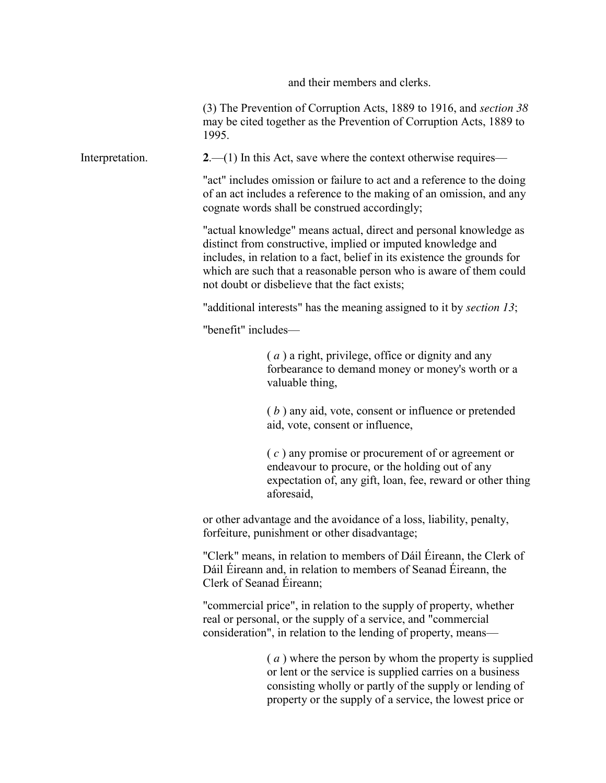and their members and clerks.

(3) The Prevention of Corruption Acts, 1889 to 1916, and *section 38* may be cited together as the Prevention of Corruption Acts, 1889 to 1995.

Interpretation. **2**.—(1) In this Act, save where the context otherwise requires—

"act" includes omission or failure to act and a reference to the doing of an act includes a reference to the making of an omission, and any cognate words shall be construed accordingly;

"actual knowledge" means actual, direct and personal knowledge as distinct from constructive, implied or imputed knowledge and includes, in relation to a fact, belief in its existence the grounds for which are such that a reasonable person who is aware of them could not doubt or disbelieve that the fact exists;

"additional interests" has the meaning assigned to it by *section 13*;

"benefit" includes—

( *a* ) a right, privilege, office or dignity and any forbearance to demand money or money's worth or a valuable thing,

( *b* ) any aid, vote, consent or influence or pretended aid, vote, consent or influence,

( *c* ) any promise or procurement of or agreement or endeavour to procure, or the holding out of any expectation of, any gift, loan, fee, reward or other thing aforesaid,

or other advantage and the avoidance of a loss, liability, penalty, forfeiture, punishment or other disadvantage;

"Clerk" means, in relation to members of Dáil Éireann, the Clerk of Dáil Éireann and, in relation to members of Seanad Éireann, the Clerk of Seanad Éireann;

"commercial price", in relation to the supply of property, whether real or personal, or the supply of a service, and "commercial consideration", in relation to the lending of property, means—

> ( *a* ) where the person by whom the property is supplied or lent or the service is supplied carries on a business consisting wholly or partly of the supply or lending of property or the supply of a service, the lowest price or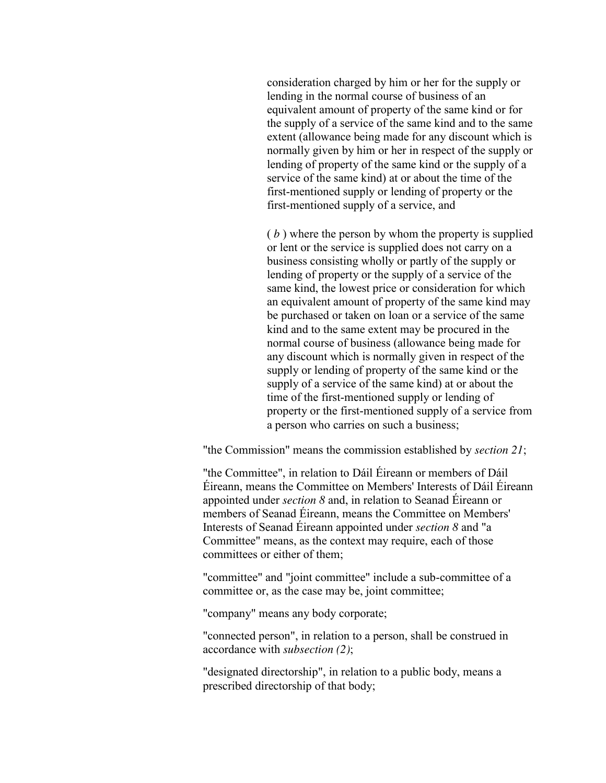consideration charged by him or her for the supply or lending in the normal course of business of an equivalent amount of property of the same kind or for the supply of a service of the same kind and to the same extent (allowance being made for any discount which is normally given by him or her in respect of the supply or lending of property of the same kind or the supply of a service of the same kind) at or about the time of the first-mentioned supply or lending of property or the first-mentioned supply of a service, and

( *b* ) where the person by whom the property is supplied or lent or the service is supplied does not carry on a business consisting wholly or partly of the supply or lending of property or the supply of a service of the same kind, the lowest price or consideration for which an equivalent amount of property of the same kind may be purchased or taken on loan or a service of the same kind and to the same extent may be procured in the normal course of business (allowance being made for any discount which is normally given in respect of the supply or lending of property of the same kind or the supply of a service of the same kind) at or about the time of the first-mentioned supply or lending of property or the first-mentioned supply of a service from a person who carries on such a business;

"the Commission" means the commission established by *section 21*;

"the Committee", in relation to Dáil Éireann or members of Dáil Éireann, means the Committee on Members' Interests of Dáil Éireann appointed under *section 8* and, in relation to Seanad Éireann or members of Seanad Éireann, means the Committee on Members' Interests of Seanad Éireann appointed under *section 8* and "a Committee" means, as the context may require, each of those committees or either of them;

"committee" and "joint committee" include a sub-committee of a committee or, as the case may be, joint committee;

"company" means any body corporate;

"connected person", in relation to a person, shall be construed in accordance with *subsection (2)*;

"designated directorship", in relation to a public body, means a prescribed directorship of that body;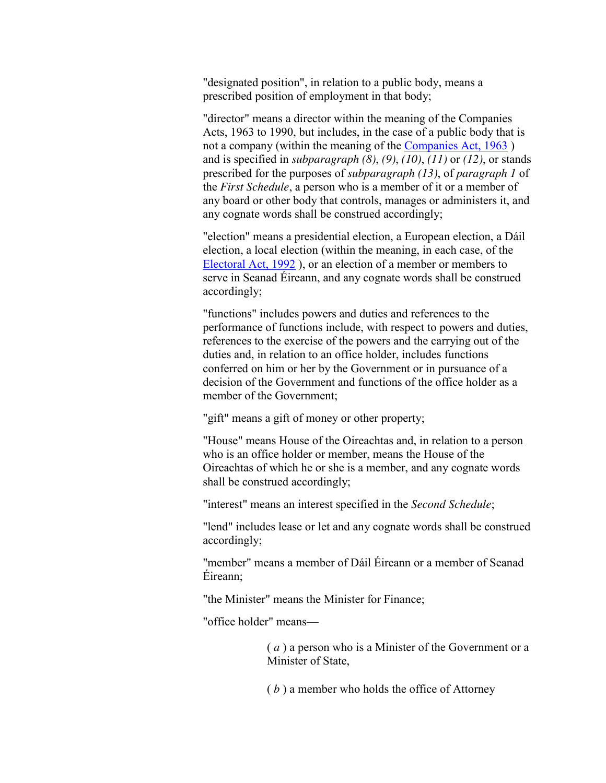"designated position", in relation to a public body, means a prescribed position of employment in that body;

"director" means a director within the meaning of the Companies Acts, 1963 to 1990, but includes, in the case of a public body that is not a company (within the meaning of the [Companies Act, 1963](http://www.irishstatutebook.ie/1963/en/act/pub/0033/index.html#zza33y1963) ) and is specified in *subparagraph (8)*, *(9)*, *(10)*, *(11)* or *(12)*, or stands prescribed for the purposes of *subparagraph (13)*, of *paragraph 1* of the *First Schedule*, a person who is a member of it or a member of any board or other body that controls, manages or administers it, and any cognate words shall be construed accordingly;

"election" means a presidential election, a European election, a Dáil election, a local election (within the meaning, in each case, of the [Electoral Act, 1992](http://www.irishstatutebook.ie/1992/en/act/pub/0023/index.html#zza23y1992) ), or an election of a member or members to serve in Seanad Éireann, and any cognate words shall be construed accordingly;

"functions" includes powers and duties and references to the performance of functions include, with respect to powers and duties, references to the exercise of the powers and the carrying out of the duties and, in relation to an office holder, includes functions conferred on him or her by the Government or in pursuance of a decision of the Government and functions of the office holder as a member of the Government;

"gift" means a gift of money or other property;

"House" means House of the Oireachtas and, in relation to a person who is an office holder or member, means the House of the Oireachtas of which he or she is a member, and any cognate words shall be construed accordingly;

"interest" means an interest specified in the *Second Schedule*;

"lend" includes lease or let and any cognate words shall be construed accordingly;

"member" means a member of Dáil Éireann or a member of Seanad Éireann;

"the Minister" means the Minister for Finance;

"office holder" means—

( *a* ) a person who is a Minister of the Government or a Minister of State,

( *b* ) a member who holds the office of Attorney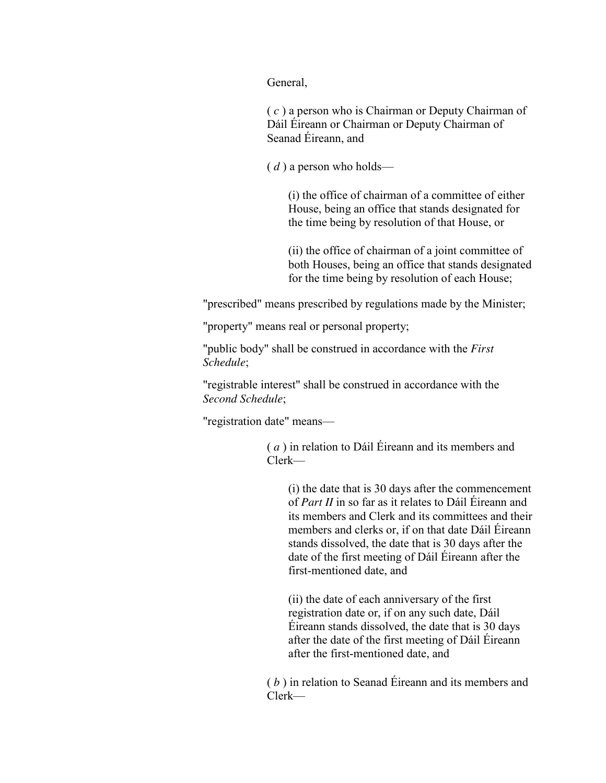General,

( *c* ) a person who is Chairman or Deputy Chairman of Dáil Éireann or Chairman or Deputy Chairman of Seanad Éireann, and

( *d* ) a person who holds—

(i) the office of chairman of a committee of either House, being an office that stands designated for the time being by resolution of that House, or

(ii) the office of chairman of a joint committee of both Houses, being an office that stands designated for the time being by resolution of each House;

"prescribed" means prescribed by regulations made by the Minister;

"property" means real or personal property;

"public body" shall be construed in accordance with the *First Schedule*;

"registrable interest" shall be construed in accordance with the *Second Schedule*;

"registration date" means—

( *a* ) in relation to Dáil Éireann and its members and Clerk—

(i) the date that is 30 days after the commencement of *Part II* in so far as it relates to Dáil Éireann and its members and Clerk and its committees and their members and clerks or, if on that date Dáil Éireann stands dissolved, the date that is 30 days after the date of the first meeting of Dáil Éireann after the first-mentioned date, and

(ii) the date of each anniversary of the first registration date or, if on any such date, Dáil Éireann stands dissolved, the date that is 30 days after the date of the first meeting of Dáil Éireann after the first-mentioned date, and

( *b* ) in relation to Seanad Éireann and its members and Clerk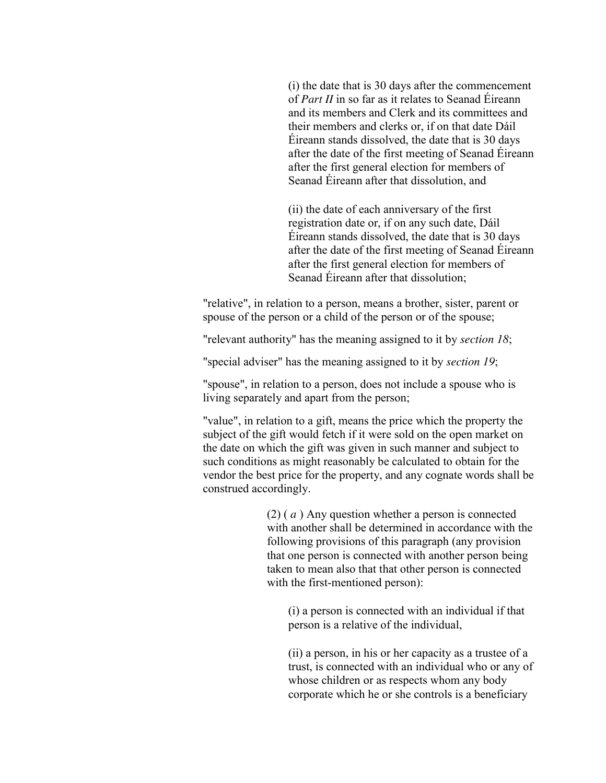(i) the date that is 30 days after the commencement of *Part II* in so far as it relates to Seanad Éireann and its members and Clerk and its committees and their members and clerks or, if on that date Dáil Éireann stands dissolved, the date that is 30 days after the date of the first meeting of Seanad Éireann after the first general election for members of Seanad Éireann after that dissolution, and

(ii) the date of each anniversary of the first registration date or, if on any such date, Dáil Éireann stands dissolved, the date that is 30 days after the date of the first meeting of Seanad Éireann after the first general election for members of Seanad Éireann after that dissolution;

"relative", in relation to a person, means a brother, sister, parent or spouse of the person or a child of the person or of the spouse;

"relevant authority" has the meaning assigned to it by *section 18*;

"special adviser" has the meaning assigned to it by *section 19*;

"spouse", in relation to a person, does not include a spouse who is living separately and apart from the person;

"value", in relation to a gift, means the price which the property the subject of the gift would fetch if it were sold on the open market on the date on which the gift was given in such manner and subject to such conditions as might reasonably be calculated to obtain for the vendor the best price for the property, and any cognate words shall be construed accordingly.

> (2) ( *a* ) Any question whether a person is connected with another shall be determined in accordance with the following provisions of this paragraph (any provision that one person is connected with another person being taken to mean also that that other person is connected with the first-mentioned person):

(i) a person is connected with an individual if that person is a relative of the individual,

(ii) a person, in his or her capacity as a trustee of a trust, is connected with an individual who or any of whose children or as respects whom any body corporate which he or she controls is a beneficiary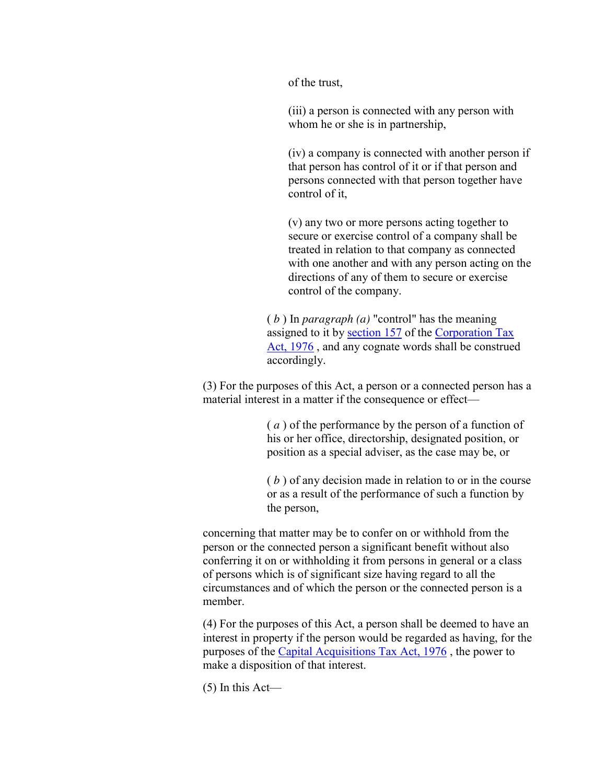of the trust,

(iii) a person is connected with any person with whom he or she is in partnership,

(iv) a company is connected with another person if that person has control of it or if that person and persons connected with that person together have control of it,

(v) any two or more persons acting together to secure or exercise control of a company shall be treated in relation to that company as connected with one another and with any person acting on the directions of any of them to secure or exercise control of the company.

( *b* ) In *paragraph (a)* "control" has the meaning assigned to it by [section 157](http://www.irishstatutebook.ie/1976/en/act/pub/0007/sec0157.html#zza7y1976s157) of the [Corporation Tax](http://www.irishstatutebook.ie/1976/en/act/pub/0007/index.html#zza7y1976)  [Act, 1976](http://www.irishstatutebook.ie/1976/en/act/pub/0007/index.html#zza7y1976) , and any cognate words shall be construed accordingly.

(3) For the purposes of this Act, a person or a connected person has a material interest in a matter if the consequence or effect—

> ( *a* ) of the performance by the person of a function of his or her office, directorship, designated position, or position as a special adviser, as the case may be, or

( *b* ) of any decision made in relation to or in the course or as a result of the performance of such a function by the person,

concerning that matter may be to confer on or withhold from the person or the connected person a significant benefit without also conferring it on or withholding it from persons in general or a class of persons which is of significant size having regard to all the circumstances and of which the person or the connected person is a member.

(4) For the purposes of this Act, a person shall be deemed to have an interest in property if the person would be regarded as having, for the purposes of the [Capital Acquisitions Tax Act, 1976](http://www.irishstatutebook.ie/1976/en/act/pub/0008/index.html#zza8y1976) , the power to make a disposition of that interest.

(5) In this Act—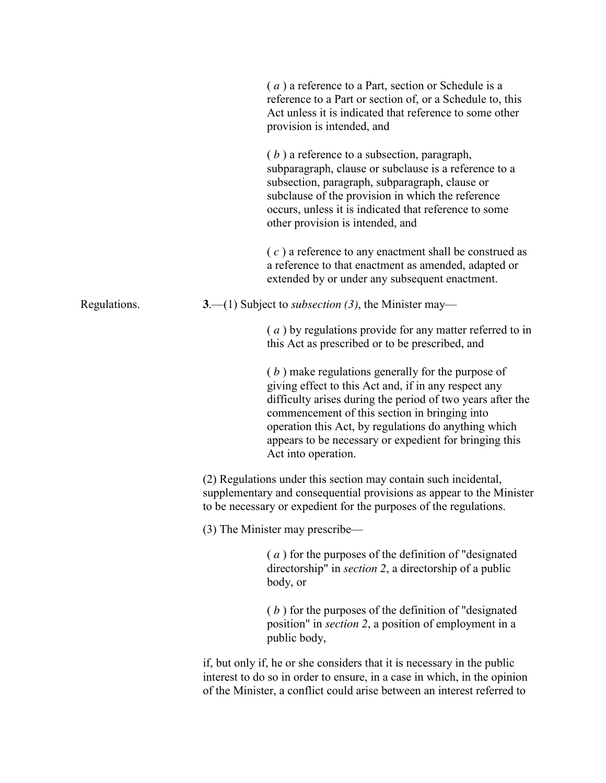|              | (a) a reference to a Part, section or Schedule is a<br>reference to a Part or section of, or a Schedule to, this<br>Act unless it is indicated that reference to some other<br>provision is intended, and                                                                                                                                                           |
|--------------|---------------------------------------------------------------------------------------------------------------------------------------------------------------------------------------------------------------------------------------------------------------------------------------------------------------------------------------------------------------------|
|              | $(b)$ a reference to a subsection, paragraph,<br>subparagraph, clause or subclause is a reference to a<br>subsection, paragraph, subparagraph, clause or<br>subclause of the provision in which the reference<br>occurs, unless it is indicated that reference to some<br>other provision is intended, and                                                          |
|              | $(c)$ a reference to any enactment shall be construed as<br>a reference to that enactment as amended, adapted or<br>extended by or under any subsequent enactment.                                                                                                                                                                                                  |
| Regulations. | 3.—(1) Subject to <i>subsection</i> (3), the Minister may—                                                                                                                                                                                                                                                                                                          |
|              | $(a)$ by regulations provide for any matter referred to in<br>this Act as prescribed or to be prescribed, and                                                                                                                                                                                                                                                       |
|              | $(b)$ make regulations generally for the purpose of<br>giving effect to this Act and, if in any respect any<br>difficulty arises during the period of two years after the<br>commencement of this section in bringing into<br>operation this Act, by regulations do anything which<br>appears to be necessary or expedient for bringing this<br>Act into operation. |
|              | (2) Regulations under this section may contain such incidental,<br>supplementary and consequential provisions as appear to the Minister<br>to be necessary or expedient for the purposes of the regulations.                                                                                                                                                        |
|              | (3) The Minister may prescribe—                                                                                                                                                                                                                                                                                                                                     |
|              | (a) for the purposes of the definition of "designated"<br>directorship" in <i>section</i> 2, a directorship of a public<br>body, or                                                                                                                                                                                                                                 |
|              | $(b)$ for the purposes of the definition of "designated"<br>position" in <i>section 2</i> , a position of employment in a<br>public body,                                                                                                                                                                                                                           |
|              | if, but only if, he or she considers that it is necessary in the public<br>interest to do so in order to ensure, in a case in which, in the opinion<br>of the Minister, a conflict could arise between an interest referred to                                                                                                                                      |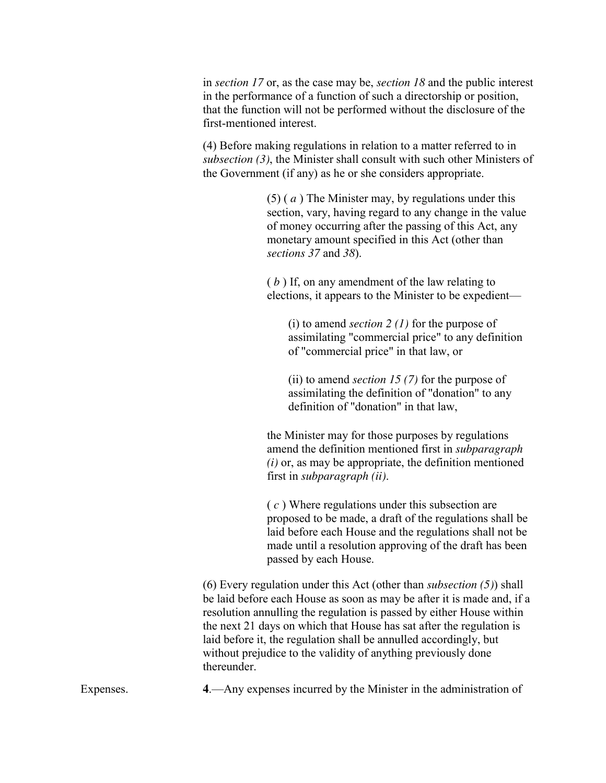in *section 17* or, as the case may be, *section 18* and the public interest in the performance of a function of such a directorship or position, that the function will not be performed without the disclosure of the first-mentioned interest.

(4) Before making regulations in relation to a matter referred to in *subsection (3)*, the Minister shall consult with such other Ministers of the Government (if any) as he or she considers appropriate.

> (5) ( *a* ) The Minister may, by regulations under this section, vary, having regard to any change in the value of money occurring after the passing of this Act, any monetary amount specified in this Act (other than *sections 37* and *38*).

( *b* ) If, on any amendment of the law relating to elections, it appears to the Minister to be expedient—

(i) to amend *section 2 (1)* for the purpose of assimilating "commercial price" to any definition of "commercial price" in that law, or

(ii) to amend *section 15 (7)* for the purpose of assimilating the definition of "donation" to any definition of "donation" in that law,

the Minister may for those purposes by regulations amend the definition mentioned first in *subparagraph (i)* or, as may be appropriate, the definition mentioned first in *subparagraph (ii)*.

( *c* ) Where regulations under this subsection are proposed to be made, a draft of the regulations shall be laid before each House and the regulations shall not be made until a resolution approving of the draft has been passed by each House.

(6) Every regulation under this Act (other than *subsection (5)*) shall be laid before each House as soon as may be after it is made and, if a resolution annulling the regulation is passed by either House within the next 21 days on which that House has sat after the regulation is laid before it, the regulation shall be annulled accordingly, but without prejudice to the validity of anything previously done thereunder.

Expenses. **4**.—Any expenses incurred by the Minister in the administration of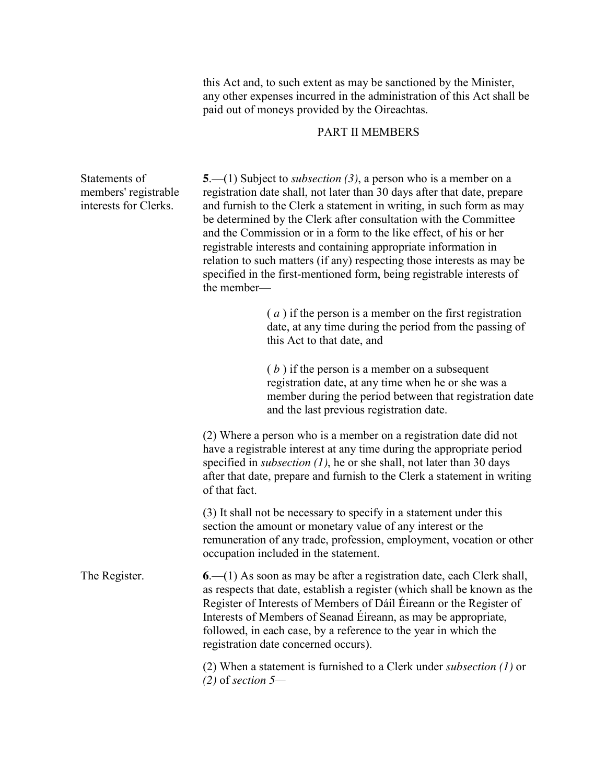this Act and, to such extent as may be sanctioned by the Minister, any other expenses incurred in the administration of this Act shall be paid out of moneys provided by the Oireachtas.

# PART II MEMBERS

Statements of members' registrable interests for Clerks. **5**.—(1) Subject to *subsection (3)*, a person who is a member on a registration date shall, not later than 30 days after that date, prepare and furnish to the Clerk a statement in writing, in such form as may be determined by the Clerk after consultation with the Committee and the Commission or in a form to the like effect, of his or her registrable interests and containing appropriate information in relation to such matters (if any) respecting those interests as may be specified in the first-mentioned form, being registrable interests of the member— ( *a* ) if the person is a member on the first registration date, at any time during the period from the passing of this Act to that date, and ( *b* ) if the person is a member on a subsequent registration date, at any time when he or she was a member during the period between that registration date and the last previous registration date. (2) Where a person who is a member on a registration date did not have a registrable interest at any time during the appropriate period specified in *subsection (1)*, he or she shall, not later than 30 days after that date, prepare and furnish to the Clerk a statement in writing of that fact. (3) It shall not be necessary to specify in a statement under this section the amount or monetary value of any interest or the remuneration of any trade, profession, employment, vocation or other occupation included in the statement. The Register. **6**.—(1) As soon as may be after a registration date, each Clerk shall, as respects that date, establish a register (which shall be known as the Register of Interests of Members of Dáil Éireann or the Register of Interests of Members of Seanad Éireann, as may be appropriate, followed, in each case, by a reference to the year in which the registration date concerned occurs). (2) When a statement is furnished to a Clerk under *subsection (1)* or

*(2)* of *section 5—*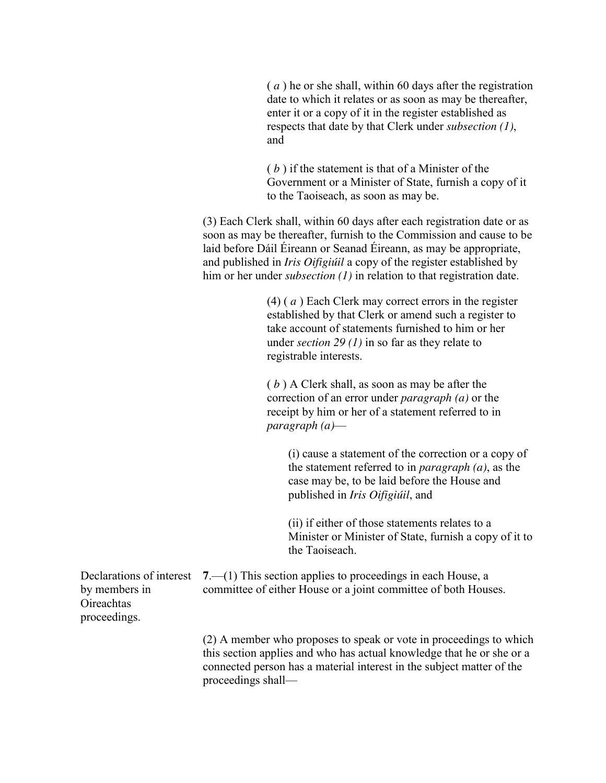( *a* ) he or she shall, within 60 days after the registration date to which it relates or as soon as may be thereafter, enter it or a copy of it in the register established as respects that date by that Clerk under *subsection (1)*, and

( *b* ) if the statement is that of a Minister of the Government or a Minister of State, furnish a copy of it to the Taoiseach, as soon as may be.

(3) Each Clerk shall, within 60 days after each registration date or as soon as may be thereafter, furnish to the Commission and cause to be laid before Dáil Éireann or Seanad Éireann, as may be appropriate, and published in *Iris Oifigiúil* a copy of the register established by him or her under *subsection* (1) in relation to that registration date.

> (4) ( *a* ) Each Clerk may correct errors in the register established by that Clerk or amend such a register to take account of statements furnished to him or her under *section 29 (1)* in so far as they relate to registrable interests.

( *b* ) A Clerk shall, as soon as may be after the correction of an error under *paragraph (a)* or the receipt by him or her of a statement referred to in *paragraph (a)*—

(i) cause a statement of the correction or a copy of the statement referred to in *paragraph (a)*, as the case may be, to be laid before the House and published in *Iris Oifigiúil*, and

(ii) if either of those statements relates to a Minister or Minister of State, furnish a copy of it to the Taoiseach.

Declarations of interest **7**.—(1) This section applies to proceedings in each House, a by members in **Oireachtas** proceedings. committee of either House or a joint committee of both Houses.

> (2) A member who proposes to speak or vote in proceedings to which this section applies and who has actual knowledge that he or she or a connected person has a material interest in the subject matter of the proceedings shall—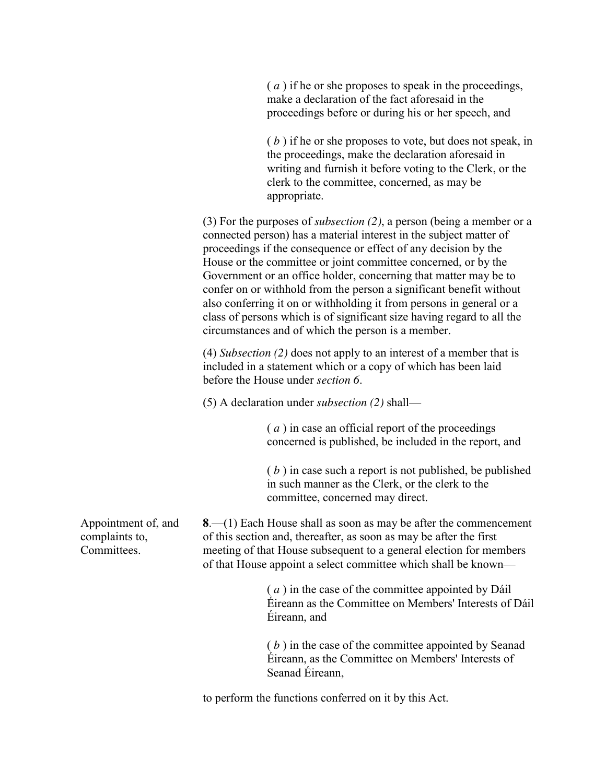| (a) if he or she proposes to speak in the proceedings, |
|--------------------------------------------------------|
| make a declaration of the fact aforesaid in the        |
| proceedings before or during his or her speech, and    |

( *b* ) if he or she proposes to vote, but does not speak, in the proceedings, make the declaration aforesaid in writing and furnish it before voting to the Clerk, or the clerk to the committee, concerned, as may be appropriate.

(3) For the purposes of *subsection (2)*, a person (being a member or a connected person) has a material interest in the subject matter of proceedings if the consequence or effect of any decision by the House or the committee or joint committee concerned, or by the Government or an office holder, concerning that matter may be to confer on or withhold from the person a significant benefit without also conferring it on or withholding it from persons in general or a class of persons which is of significant size having regard to all the circumstances and of which the person is a member.

(4) *Subsection (2)* does not apply to an interest of a member that is included in a statement which or a copy of which has been laid before the House under *section 6*.

(5) A declaration under *subsection (2)* shall—

( *a* ) in case an official report of the proceedings concerned is published, be included in the report, and

( *b* ) in case such a report is not published, be published in such manner as the Clerk, or the clerk to the committee, concerned may direct.

**8**.—(1) Each House shall as soon as may be after the commencement of this section and, thereafter, as soon as may be after the first meeting of that House subsequent to a general election for members of that House appoint a select committee which shall be known—

> ( *a* ) in the case of the committee appointed by Dáil Éireann as the Committee on Members' Interests of Dáil Éireann, and

( *b* ) in the case of the committee appointed by Seanad Éireann, as the Committee on Members' Interests of Seanad Éireann,

to perform the functions conferred on it by this Act.

Appointment of, and complaints to, Committees.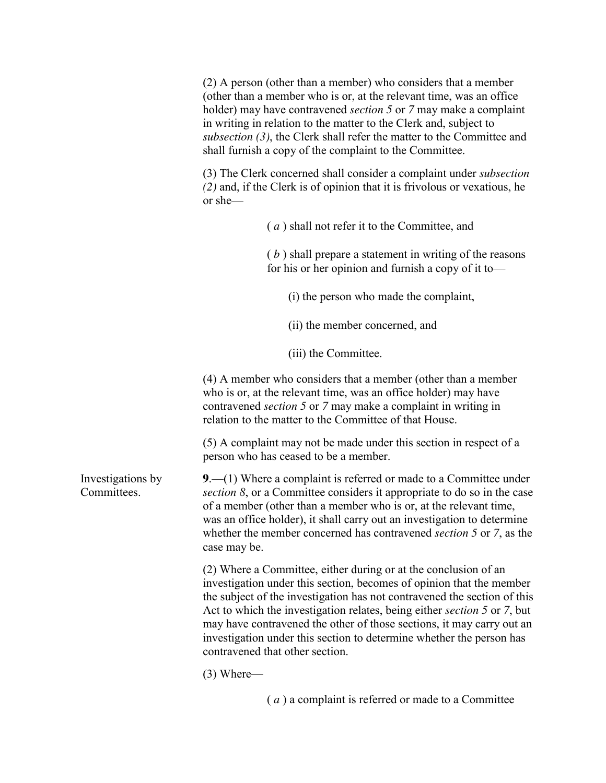(2) A person (other than a member) who considers that a member (other than a member who is or, at the relevant time, was an office holder) may have contravened *section 5* or *7* may make a complaint in writing in relation to the matter to the Clerk and, subject to *subsection (3)*, the Clerk shall refer the matter to the Committee and shall furnish a copy of the complaint to the Committee.

(3) The Clerk concerned shall consider a complaint under *subsection (2)* and, if the Clerk is of opinion that it is frivolous or vexatious, he or she—

> ( *a* ) shall not refer it to the Committee, and ( *b* ) shall prepare a statement in writing of the reasons for his or her opinion and furnish a copy of it to—

(i) the person who made the complaint,

(ii) the member concerned, and

(iii) the Committee.

(4) A member who considers that a member (other than a member who is or, at the relevant time, was an office holder) may have contravened *section 5* or *7* may make a complaint in writing in relation to the matter to the Committee of that House.

(5) A complaint may not be made under this section in respect of a person who has ceased to be a member.

**9**.—(1) Where a complaint is referred or made to a Committee under *section 8*, or a Committee considers it appropriate to do so in the case of a member (other than a member who is or, at the relevant time, was an office holder), it shall carry out an investigation to determine whether the member concerned has contravened *section 5* or *7*, as the case may be.

> (2) Where a Committee, either during or at the conclusion of an investigation under this section, becomes of opinion that the member the subject of the investigation has not contravened the section of this Act to which the investigation relates, being either *section 5* or *7*, but may have contravened the other of those sections, it may carry out an investigation under this section to determine whether the person has contravened that other section.

(3) Where—

( *a* ) a complaint is referred or made to a Committee

Investigations by **Committees**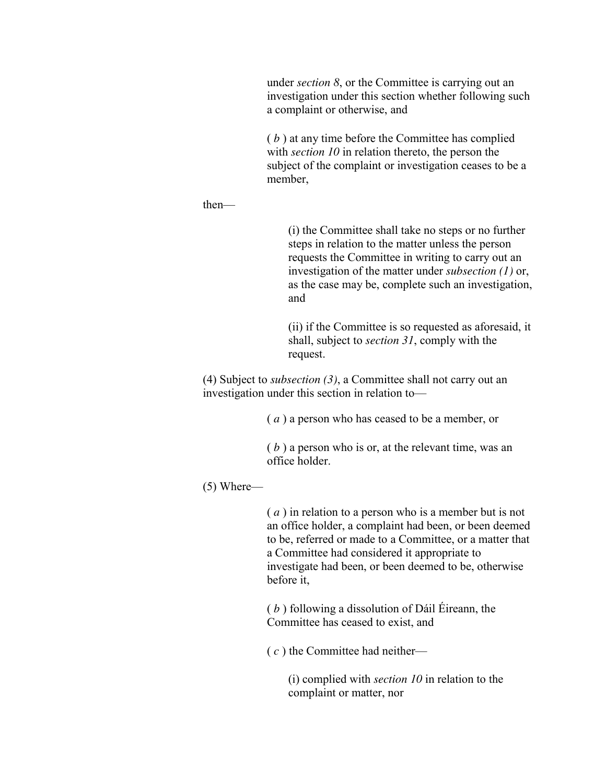under *section 8*, or the Committee is carrying out an investigation under this section whether following such a complaint or otherwise, and

( *b* ) at any time before the Committee has complied with *section 10* in relation thereto, the person the subject of the complaint or investigation ceases to be a member,

then—

(i) the Committee shall take no steps or no further steps in relation to the matter unless the person requests the Committee in writing to carry out an investigation of the matter under *subsection (1)* or, as the case may be, complete such an investigation, and

(ii) if the Committee is so requested as aforesaid, it shall, subject to *section 31*, comply with the request.

(4) Subject to *subsection (3)*, a Committee shall not carry out an investigation under this section in relation to—

( *a* ) a person who has ceased to be a member, or

( *b* ) a person who is or, at the relevant time, was an office holder.

(5) Where—

( *a* ) in relation to a person who is a member but is not an office holder, a complaint had been, or been deemed to be, referred or made to a Committee, or a matter that a Committee had considered it appropriate to investigate had been, or been deemed to be, otherwise before it,

( *b* ) following a dissolution of Dáil Éireann, the Committee has ceased to exist, and

( *c* ) the Committee had neither—

(i) complied with *section 10* in relation to the complaint or matter, nor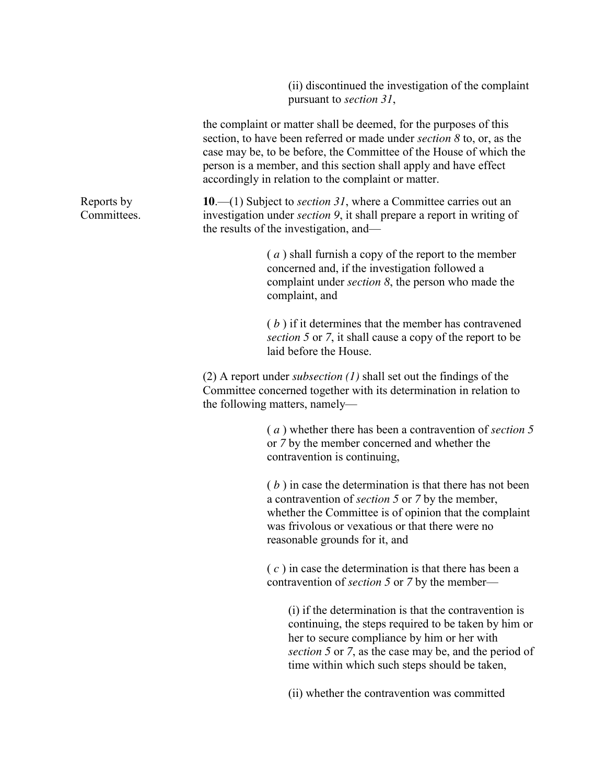(ii) discontinued the investigation of the complaint pursuant to *section 31*,

|                           | the complaint or matter shall be deemed, for the purposes of this<br>section, to have been referred or made under <i>section</i> 8 to, or, as the<br>case may be, to be before, the Committee of the House of which the<br>person is a member, and this section shall apply and have effect<br>accordingly in relation to the complaint or matter. |
|---------------------------|----------------------------------------------------------------------------------------------------------------------------------------------------------------------------------------------------------------------------------------------------------------------------------------------------------------------------------------------------|
| Reports by<br>Committees. | 10.—(1) Subject to <i>section</i> 31, where a Committee carries out an<br>investigation under <i>section</i> 9, it shall prepare a report in writing of<br>the results of the investigation, and—                                                                                                                                                  |
|                           | $(a)$ shall furnish a copy of the report to the member<br>concerned and, if the investigation followed a<br>complaint under <i>section</i> $\delta$ , the person who made the<br>complaint, and                                                                                                                                                    |
|                           | $(b)$ if it determines that the member has contravened<br>section 5 or 7, it shall cause a copy of the report to be<br>laid before the House.                                                                                                                                                                                                      |
|                           | (2) A report under <i>subsection</i> $(1)$ shall set out the findings of the<br>Committee concerned together with its determination in relation to<br>the following matters, namely—                                                                                                                                                               |
|                           | (a) whether there has been a contravention of section 5<br>or 7 by the member concerned and whether the<br>contravention is continuing,                                                                                                                                                                                                            |
|                           | $(b)$ in case the determination is that there has not been<br>a contravention of <i>section</i> 5 or 7 by the member,<br>whether the Committee is of opinion that the complaint<br>was frivolous or vexatious or that there were no<br>reasonable grounds for it, and                                                                              |
|                           | $(c)$ in case the determination is that there has been a<br>contravention of <i>section</i> 5 or 7 by the member—                                                                                                                                                                                                                                  |
|                           | (i) if the determination is that the contravention is<br>continuing, the steps required to be taken by him or<br>her to secure compliance by him or her with<br>section 5 or 7, as the case may be, and the period of<br>time within which such steps should be taken,                                                                             |
|                           | (ii) whether the contravention was committed                                                                                                                                                                                                                                                                                                       |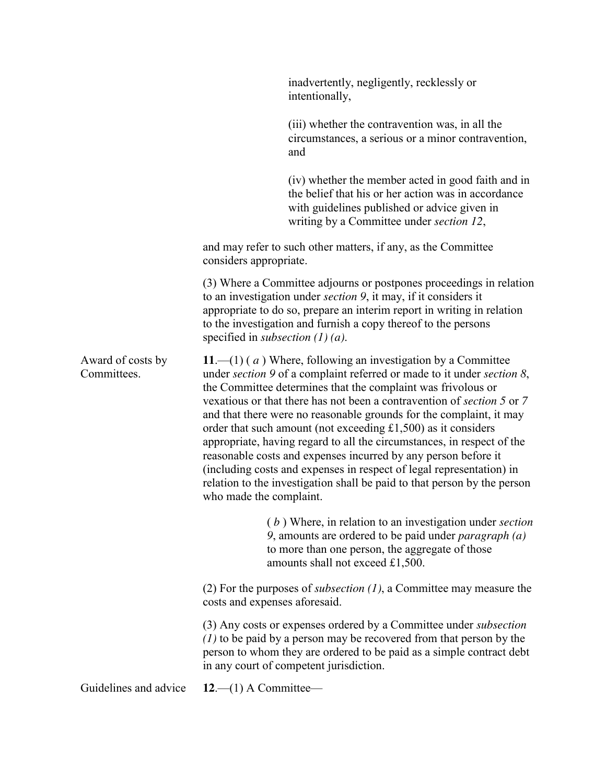|                                  |                                              | inadvertently, negligently, recklessly or<br>intentionally,                                                                                                                                                                                                                                                                                                                                                                                                                                                                                                                                                                                                                                                                 |
|----------------------------------|----------------------------------------------|-----------------------------------------------------------------------------------------------------------------------------------------------------------------------------------------------------------------------------------------------------------------------------------------------------------------------------------------------------------------------------------------------------------------------------------------------------------------------------------------------------------------------------------------------------------------------------------------------------------------------------------------------------------------------------------------------------------------------------|
|                                  |                                              | (iii) whether the contravention was, in all the<br>circumstances, a serious or a minor contravention,<br>and                                                                                                                                                                                                                                                                                                                                                                                                                                                                                                                                                                                                                |
|                                  |                                              | (iv) whether the member acted in good faith and in<br>the belief that his or her action was in accordance<br>with guidelines published or advice given in<br>writing by a Committee under section 12,                                                                                                                                                                                                                                                                                                                                                                                                                                                                                                                       |
|                                  | considers appropriate.                       | and may refer to such other matters, if any, as the Committee                                                                                                                                                                                                                                                                                                                                                                                                                                                                                                                                                                                                                                                               |
|                                  | specified in <i>subsection</i> $(1)$ $(a)$ . | (3) Where a Committee adjourns or postpones proceedings in relation<br>to an investigation under <i>section</i> 9, it may, if it considers it<br>appropriate to do so, prepare an interim report in writing in relation<br>to the investigation and furnish a copy thereof to the persons                                                                                                                                                                                                                                                                                                                                                                                                                                   |
| Award of costs by<br>Committees. | who made the complaint.                      | 11.—(1) (a) Where, following an investigation by a Committee<br>under section 9 of a complaint referred or made to it under section 8,<br>the Committee determines that the complaint was frivolous or<br>vexatious or that there has not been a contravention of section 5 or 7<br>and that there were no reasonable grounds for the complaint, it may<br>order that such amount (not exceeding $£1,500$ ) as it considers<br>appropriate, having regard to all the circumstances, in respect of the<br>reasonable costs and expenses incurred by any person before it<br>(including costs and expenses in respect of legal representation) in<br>relation to the investigation shall be paid to that person by the person |
|                                  |                                              | $(b)$ Where, in relation to an investigation under section<br>9, amounts are ordered to be paid under <i>paragraph</i> $(a)$<br>to more than one person, the aggregate of those<br>amounts shall not exceed £1,500.                                                                                                                                                                                                                                                                                                                                                                                                                                                                                                         |
|                                  | costs and expenses aforesaid.                | (2) For the purposes of <i>subsection</i> $(1)$ , a Committee may measure the                                                                                                                                                                                                                                                                                                                                                                                                                                                                                                                                                                                                                                               |
|                                  |                                              | (3) Any costs or expenses ordered by a Committee under <i>subsection</i><br>$(1)$ to be paid by a person may be recovered from that person by the<br>person to whom they are ordered to be paid as a simple contract debt<br>in any court of competent jurisdiction.                                                                                                                                                                                                                                                                                                                                                                                                                                                        |
| Guidelines and advice            | $12-1)$ A Committee-                         |                                                                                                                                                                                                                                                                                                                                                                                                                                                                                                                                                                                                                                                                                                                             |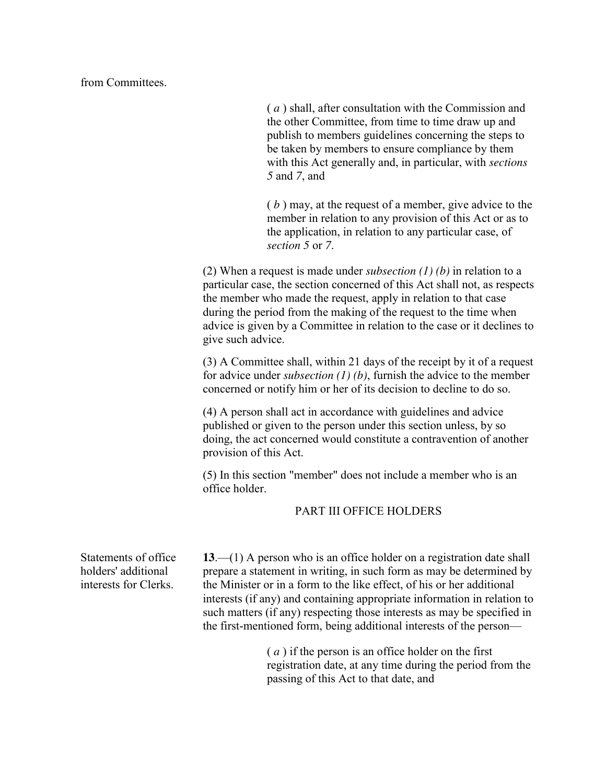from Committees.

( *a* ) shall, after consultation with the Commission and the other Committee, from time to time draw up and publish to members guidelines concerning the steps to be taken by members to ensure compliance by them with this Act generally and, in particular, with *sections 5* and *7*, and

( *b* ) may, at the request of a member, give advice to the member in relation to any provision of this Act or as to the application, in relation to any particular case, of *section 5* or *7*.

(2) When a request is made under *subsection (1) (b)* in relation to a particular case, the section concerned of this Act shall not, as respects the member who made the request, apply in relation to that case during the period from the making of the request to the time when advice is given by a Committee in relation to the case or it declines to give such advice.

(3) A Committee shall, within 21 days of the receipt by it of a request for advice under *subsection (1) (b)*, furnish the advice to the member concerned or notify him or her of its decision to decline to do so.

(4) A person shall act in accordance with guidelines and advice published or given to the person under this section unless, by so doing, the act concerned would constitute a contravention of another provision of this Act.

(5) In this section "member" does not include a member who is an office holder.

# PART III OFFICE HOLDERS

Statements of office holders' additional interests for Clerks.

**13**.—(1) A person who is an office holder on a registration date shall prepare a statement in writing, in such form as may be determined by the Minister or in a form to the like effect, of his or her additional interests (if any) and containing appropriate information in relation to such matters (if any) respecting those interests as may be specified in the first-mentioned form, being additional interests of the person—

> ( *a* ) if the person is an office holder on the first registration date, at any time during the period from the passing of this Act to that date, and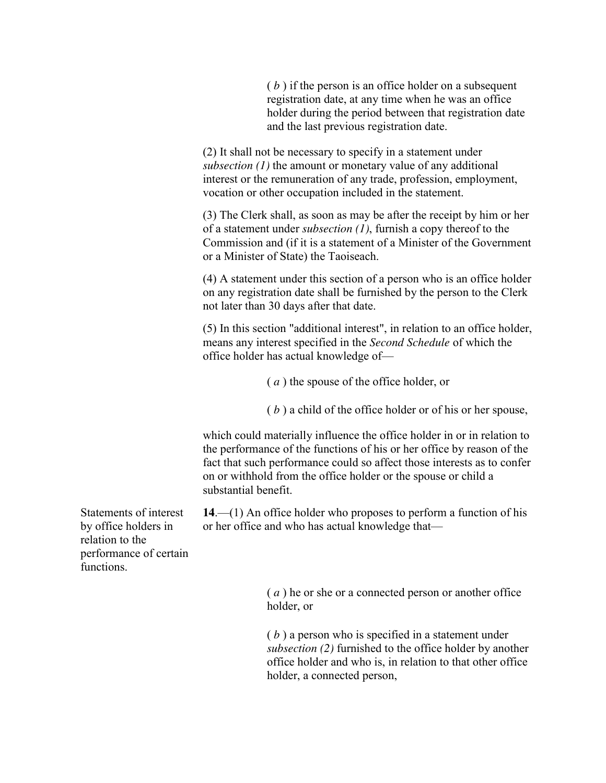( *b* ) if the person is an office holder on a subsequent registration date, at any time when he was an office holder during the period between that registration date and the last previous registration date.

(2) It shall not be necessary to specify in a statement under *subsection (1)* the amount or monetary value of any additional interest or the remuneration of any trade, profession, employment, vocation or other occupation included in the statement.

(3) The Clerk shall, as soon as may be after the receipt by him or her of a statement under *subsection (1)*, furnish a copy thereof to the Commission and (if it is a statement of a Minister of the Government or a Minister of State) the Taoiseach.

(4) A statement under this section of a person who is an office holder on any registration date shall be furnished by the person to the Clerk not later than 30 days after that date.

(5) In this section "additional interest", in relation to an office holder, means any interest specified in the *Second Schedule* of which the office holder has actual knowledge of—

( *a* ) the spouse of the office holder, or

( *b* ) a child of the office holder or of his or her spouse,

which could materially influence the office holder in or in relation to the performance of the functions of his or her office by reason of the fact that such performance could so affect those interests as to confer on or withhold from the office holder or the spouse or child a substantial benefit.

**14**.—(1) An office holder who proposes to perform a function of his or her office and who has actual knowledge that—

Statements of interest by office holders in relation to the performance of certain functions.

> ( *a* ) he or she or a connected person or another office holder, or

( *b* ) a person who is specified in a statement under *subsection (2)* furnished to the office holder by another office holder and who is, in relation to that other office holder, a connected person,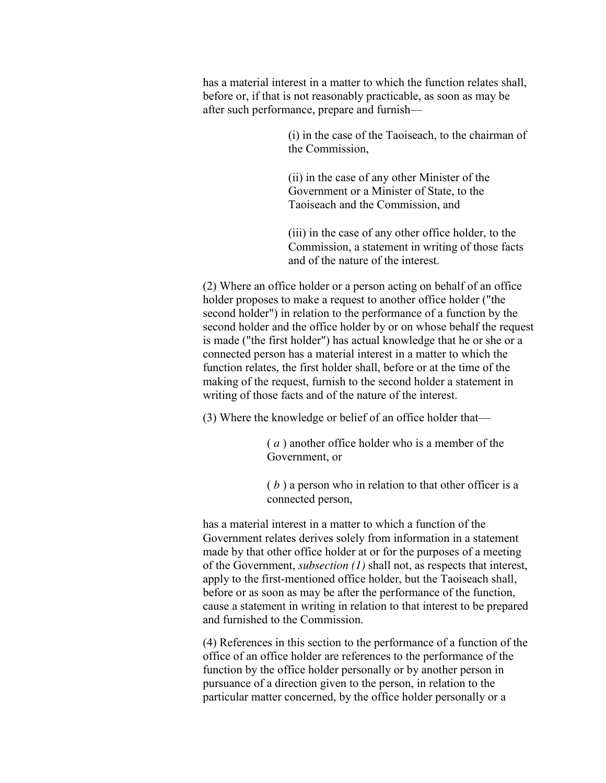has a material interest in a matter to which the function relates shall, before or, if that is not reasonably practicable, as soon as may be after such performance, prepare and furnish—

> (i) in the case of the Taoiseach, to the chairman of the Commission,

(ii) in the case of any other Minister of the Government or a Minister of State, to the Taoiseach and the Commission, and

(iii) in the case of any other office holder, to the Commission, a statement in writing of those facts and of the nature of the interest.

(2) Where an office holder or a person acting on behalf of an office holder proposes to make a request to another office holder ("the second holder") in relation to the performance of a function by the second holder and the office holder by or on whose behalf the request is made ("the first holder") has actual knowledge that he or she or a connected person has a material interest in a matter to which the function relates, the first holder shall, before or at the time of the making of the request, furnish to the second holder a statement in writing of those facts and of the nature of the interest.

(3) Where the knowledge or belief of an office holder that—

( *a* ) another office holder who is a member of the Government, or

( *b* ) a person who in relation to that other officer is a connected person,

has a material interest in a matter to which a function of the Government relates derives solely from information in a statement made by that other office holder at or for the purposes of a meeting of the Government, *subsection (1)* shall not, as respects that interest, apply to the first-mentioned office holder, but the Taoiseach shall, before or as soon as may be after the performance of the function, cause a statement in writing in relation to that interest to be prepared and furnished to the Commission.

(4) References in this section to the performance of a function of the office of an office holder are references to the performance of the function by the office holder personally or by another person in pursuance of a direction given to the person, in relation to the particular matter concerned, by the office holder personally or a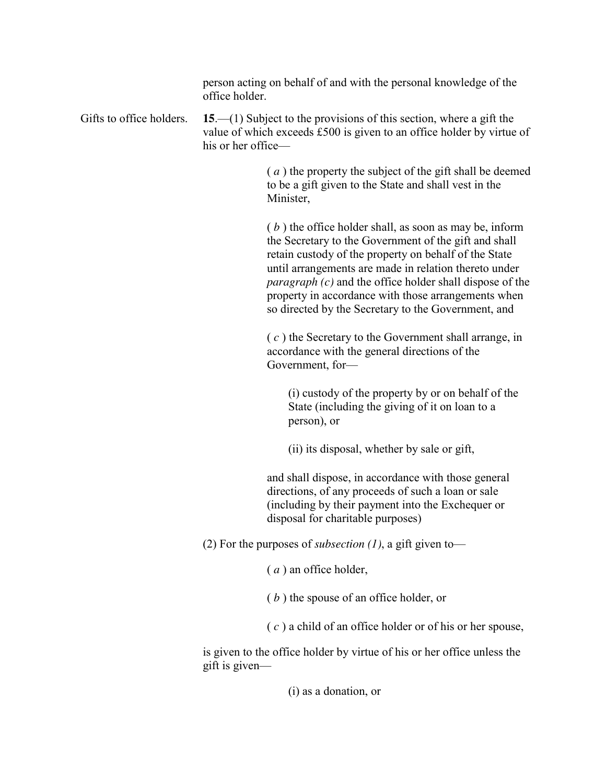person acting on behalf of and with the personal knowledge of the office holder.

Gifts to office holders. **15**.—(1) Subject to the provisions of this section, where a gift the value of which exceeds £500 is given to an office holder by virtue of his or her office—

> ( *a* ) the property the subject of the gift shall be deemed to be a gift given to the State and shall vest in the Minister,

> ( *b* ) the office holder shall, as soon as may be, inform the Secretary to the Government of the gift and shall retain custody of the property on behalf of the State until arrangements are made in relation thereto under *paragraph (c)* and the office holder shall dispose of the property in accordance with those arrangements when so directed by the Secretary to the Government, and

( *c* ) the Secretary to the Government shall arrange, in accordance with the general directions of the Government, for—

(i) custody of the property by or on behalf of the State (including the giving of it on loan to a person), or

(ii) its disposal, whether by sale or gift,

and shall dispose, in accordance with those general directions, of any proceeds of such a loan or sale (including by their payment into the Exchequer or disposal for charitable purposes)

(2) For the purposes of *subsection (1)*, a gift given to—

( *a* ) an office holder,

( *b* ) the spouse of an office holder, or

( *c* ) a child of an office holder or of his or her spouse,

is given to the office holder by virtue of his or her office unless the gift is given—

(i) as a donation, or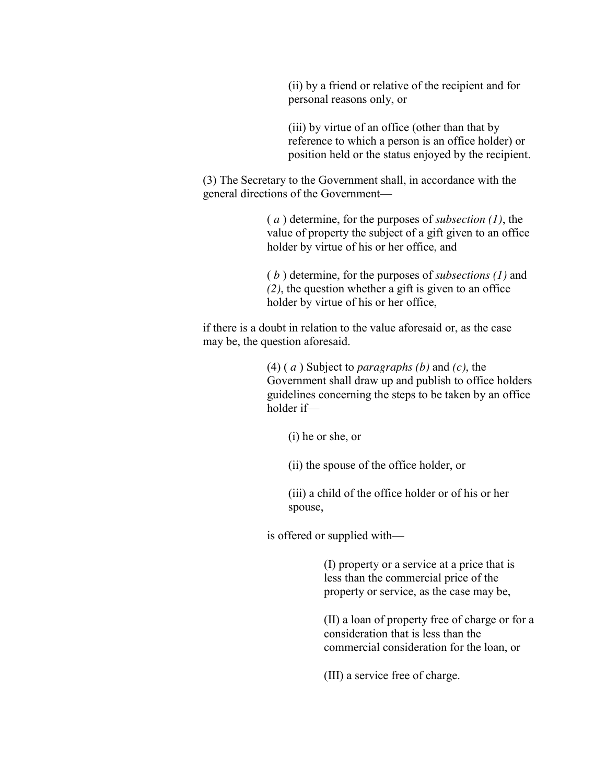(ii) by a friend or relative of the recipient and for personal reasons only, or

(iii) by virtue of an office (other than that by reference to which a person is an office holder) or position held or the status enjoyed by the recipient.

(3) The Secretary to the Government shall, in accordance with the general directions of the Government—

> ( *a* ) determine, for the purposes of *subsection (1)*, the value of property the subject of a gift given to an office holder by virtue of his or her office, and

( *b* ) determine, for the purposes of *subsections (1)* and *(2)*, the question whether a gift is given to an office holder by virtue of his or her office,

if there is a doubt in relation to the value aforesaid or, as the case may be, the question aforesaid.

> (4) ( *a* ) Subject to *paragraphs (b)* and *(c)*, the Government shall draw up and publish to office holders guidelines concerning the steps to be taken by an office holder if—

(i) he or she, or

(ii) the spouse of the office holder, or

(iii) a child of the office holder or of his or her spouse,

is offered or supplied with—

(I) property or a service at a price that is less than the commercial price of the property or service, as the case may be,

(II) a loan of property free of charge or for a consideration that is less than the commercial consideration for the loan, or

(III) a service free of charge.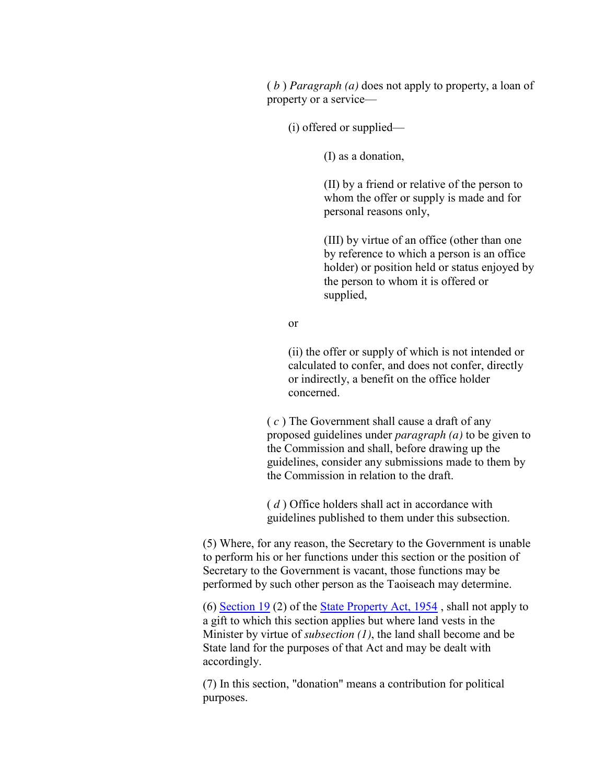( *b* ) *Paragraph (a)* does not apply to property, a loan of property or a service—

(i) offered or supplied—

(I) as a donation,

(II) by a friend or relative of the person to whom the offer or supply is made and for personal reasons only,

(III) by virtue of an office (other than one by reference to which a person is an office holder) or position held or status enjoyed by the person to whom it is offered or supplied,

or

(ii) the offer or supply of which is not intended or calculated to confer, and does not confer, directly or indirectly, a benefit on the office holder concerned.

( *c* ) The Government shall cause a draft of any proposed guidelines under *paragraph (a)* to be given to the Commission and shall, before drawing up the guidelines, consider any submissions made to them by the Commission in relation to the draft.

( *d* ) Office holders shall act in accordance with guidelines published to them under this subsection.

(5) Where, for any reason, the Secretary to the Government is unable to perform his or her functions under this section or the position of Secretary to the Government is vacant, those functions may be performed by such other person as the Taoiseach may determine.

(6) [Section 19](http://www.irishstatutebook.ie/1954/en/act/pub/0025/sec0019.html#zza25y1954s19) (2) of the [State Property Act, 1954](http://www.irishstatutebook.ie/1954/en/act/pub/0025/index.html#zza25y1954) , shall not apply to a gift to which this section applies but where land vests in the Minister by virtue of *subsection (1)*, the land shall become and be State land for the purposes of that Act and may be dealt with accordingly.

(7) In this section, "donation" means a contribution for political purposes.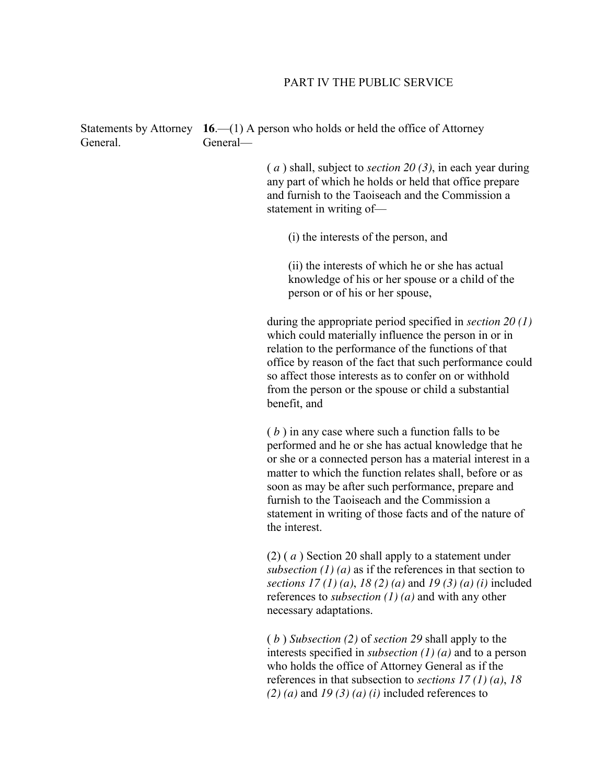#### PART IV THE PUBLIC SERVICE

Statements by Attorney **16**.—(1) A person who holds or held the office of Attorney General. General—

> ( *a* ) shall, subject to *section 20 (3)*, in each year during any part of which he holds or held that office prepare and furnish to the Taoiseach and the Commission a statement in writing of—

(i) the interests of the person, and

(ii) the interests of which he or she has actual knowledge of his or her spouse or a child of the person or of his or her spouse,

during the appropriate period specified in *section 20 (1)* which could materially influence the person in or in relation to the performance of the functions of that office by reason of the fact that such performance could so affect those interests as to confer on or withhold from the person or the spouse or child a substantial benefit, and

( *b* ) in any case where such a function falls to be performed and he or she has actual knowledge that he or she or a connected person has a material interest in a matter to which the function relates shall, before or as soon as may be after such performance, prepare and furnish to the Taoiseach and the Commission a statement in writing of those facts and of the nature of the interest.

(2) ( *a* ) Section 20 shall apply to a statement under *subsection (1) (a)* as if the references in that section to *sections 17 (1) (a)*, *18 (2) (a)* and *19 (3) (a) (i)* included references to *subsection (1) (a)* and with any other necessary adaptations.

( *b* ) *Subsection (2)* of *section 29* shall apply to the interests specified in *subsection (1) (a)* and to a person who holds the office of Attorney General as if the references in that subsection to *sections 17 (1) (a)*, *18 (2) (a)* and *19 (3) (a) (i)* included references to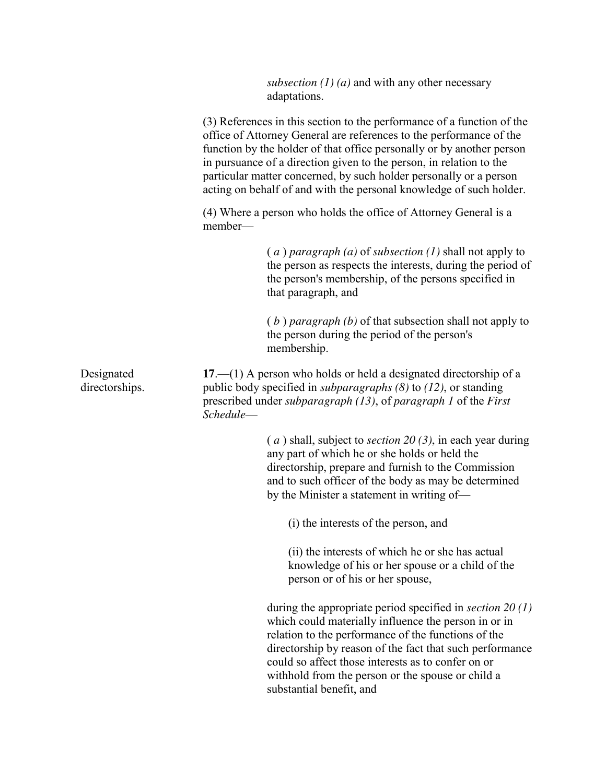*subsection (1) (a)* and with any other necessary adaptations.

|                              | (3) References in this section to the performance of a function of the<br>office of Attorney General are references to the performance of the<br>function by the holder of that office personally or by another person<br>in pursuance of a direction given to the person, in relation to the<br>particular matter concerned, by such holder personally or a person<br>acting on behalf of and with the personal knowledge of such holder. |
|------------------------------|--------------------------------------------------------------------------------------------------------------------------------------------------------------------------------------------------------------------------------------------------------------------------------------------------------------------------------------------------------------------------------------------------------------------------------------------|
|                              | (4) Where a person who holds the office of Attorney General is a<br>member-                                                                                                                                                                                                                                                                                                                                                                |
|                              | $(a)$ paragraph $(a)$ of subsection $(1)$ shall not apply to<br>the person as respects the interests, during the period of<br>the person's membership, of the persons specified in<br>that paragraph, and                                                                                                                                                                                                                                  |
|                              | $(b)$ paragraph $(b)$ of that subsection shall not apply to<br>the person during the period of the person's<br>membership.                                                                                                                                                                                                                                                                                                                 |
| Designated<br>directorships. | $17$ —(1) A person who holds or held a designated directorship of a<br>public body specified in <i>subparagraphs</i> $(8)$ to $(12)$ , or standing<br>prescribed under <i>subparagraph</i> $(13)$ , of <i>paragraph</i> 1 of the <i>First</i><br>Schedule-                                                                                                                                                                                 |
|                              | $(a)$ shall, subject to <i>section</i> 20(3), in each year during<br>any part of which he or she holds or held the<br>directorship, prepare and furnish to the Commission<br>and to such officer of the body as may be determined<br>by the Minister a statement in writing of—                                                                                                                                                            |
|                              | (i) the interests of the person, and                                                                                                                                                                                                                                                                                                                                                                                                       |
|                              | (ii) the interests of which he or she has actual<br>knowledge of his or her spouse or a child of the<br>person or of his or her spouse,                                                                                                                                                                                                                                                                                                    |
|                              | during the appropriate period specified in <i>section</i> 20 $(1)$<br>which could materially influence the person in or in<br>relation to the performance of the functions of the<br>directorship by reason of the fact that such performance<br>could so affect those interests as to confer on or<br>withhold from the person or the spouse or child a<br>substantial benefit, and                                                       |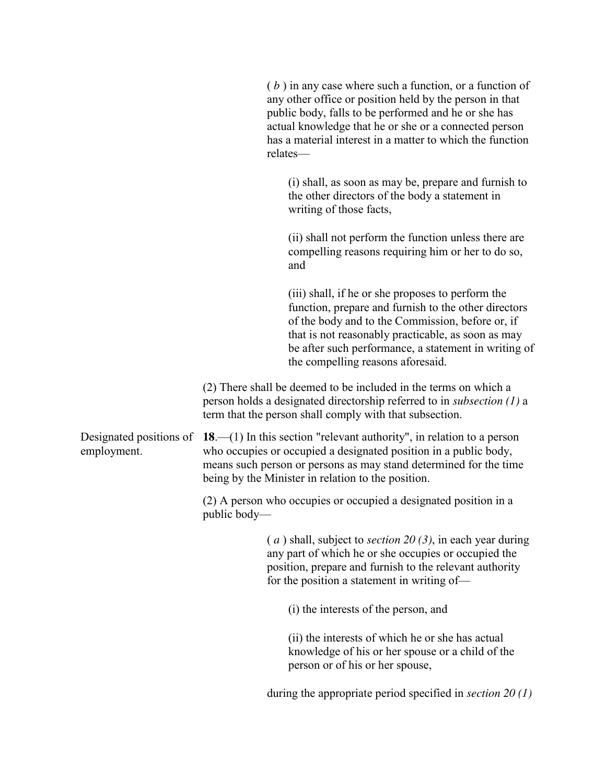|                                        | $(b)$ in any case where such a function, or a function of<br>any other office or position held by the person in that<br>public body, falls to be performed and he or she has<br>actual knowledge that he or she or a connected person<br>has a material interest in a matter to which the function<br>relates-   |
|----------------------------------------|------------------------------------------------------------------------------------------------------------------------------------------------------------------------------------------------------------------------------------------------------------------------------------------------------------------|
|                                        | (i) shall, as soon as may be, prepare and furnish to<br>the other directors of the body a statement in<br>writing of those facts,                                                                                                                                                                                |
|                                        | (ii) shall not perform the function unless there are<br>compelling reasons requiring him or her to do so,<br>and                                                                                                                                                                                                 |
|                                        | (iii) shall, if he or she proposes to perform the<br>function, prepare and furnish to the other directors<br>of the body and to the Commission, before or, if<br>that is not reasonably practicable, as soon as may<br>be after such performance, a statement in writing of<br>the compelling reasons aforesaid. |
|                                        | (2) There shall be deemed to be included in the terms on which a<br>person holds a designated directorship referred to in <i>subsection</i> $(1)$ a<br>term that the person shall comply with that subsection.                                                                                                   |
| Designated positions of<br>employment. | <b>18.</b> —(1) In this section "relevant authority", in relation to a person<br>who occupies or occupied a designated position in a public body,<br>means such person or persons as may stand determined for the time<br>being by the Minister in relation to the position.                                     |
|                                        | (2) A person who occupies or occupied a designated position in a<br>public body—                                                                                                                                                                                                                                 |
|                                        | $(a)$ shall, subject to <i>section</i> 20(3), in each year during<br>any part of which he or she occupies or occupied the<br>position, prepare and furnish to the relevant authority<br>for the position a statement in writing of-                                                                              |
|                                        | (i) the interests of the person, and                                                                                                                                                                                                                                                                             |
|                                        | (ii) the interests of which he or she has actual<br>knowledge of his or her spouse or a child of the<br>person or of his or her spouse,                                                                                                                                                                          |
|                                        | during the appropriate period specified in section $20(1)$                                                                                                                                                                                                                                                       |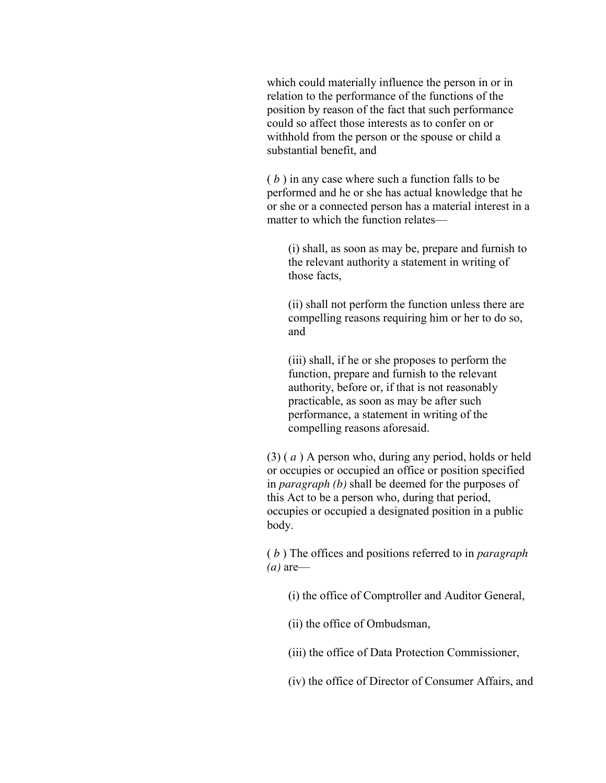which could materially influence the person in or in relation to the performance of the functions of the position by reason of the fact that such performance could so affect those interests as to confer on or withhold from the person or the spouse or child a substantial benefit, and

( *b* ) in any case where such a function falls to be performed and he or she has actual knowledge that he or she or a connected person has a material interest in a matter to which the function relates—

(i) shall, as soon as may be, prepare and furnish to the relevant authority a statement in writing of those facts,

(ii) shall not perform the function unless there are compelling reasons requiring him or her to do so, and

(iii) shall, if he or she proposes to perform the function, prepare and furnish to the relevant authority, before or, if that is not reasonably practicable, as soon as may be after such performance, a statement in writing of the compelling reasons aforesaid.

(3) ( *a* ) A person who, during any period, holds or held or occupies or occupied an office or position specified in *paragraph (b)* shall be deemed for the purposes of this Act to be a person who, during that period, occupies or occupied a designated position in a public body.

( *b* ) The offices and positions referred to in *paragraph (a)* are—

(i) the office of Comptroller and Auditor General,

(ii) the office of Ombudsman,

(iii) the office of Data Protection Commissioner,

(iv) the office of Director of Consumer Affairs, and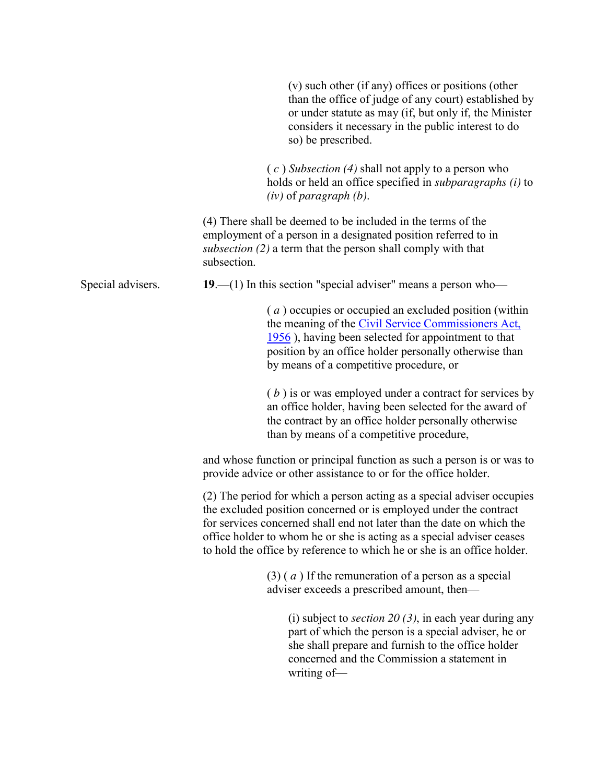|                   | (v) such other (if any) offices or positions (other<br>than the office of judge of any court) established by<br>or under statute as may (if, but only if, the Minister<br>considers it necessary in the public interest to do<br>so) be prescribed.                                                                                                                      |  |
|-------------------|--------------------------------------------------------------------------------------------------------------------------------------------------------------------------------------------------------------------------------------------------------------------------------------------------------------------------------------------------------------------------|--|
|                   | $(c)$ Subsection (4) shall not apply to a person who<br>holds or held an office specified in <i>subparagraphs</i> ( <i>i</i> ) to<br>$(iv)$ of paragraph $(b)$ .                                                                                                                                                                                                         |  |
|                   | (4) There shall be deemed to be included in the terms of the<br>employment of a person in a designated position referred to in<br>subsection (2) a term that the person shall comply with that<br>subsection.                                                                                                                                                            |  |
| Special advisers. | 19.—(1) In this section "special adviser" means a person who—                                                                                                                                                                                                                                                                                                            |  |
|                   | (a) occupies or occupied an excluded position (within<br>the meaning of the Civil Service Commissioners Act,<br>1956), having been selected for appointment to that<br>position by an office holder personally otherwise than<br>by means of a competitive procedure, or                                                                                                 |  |
|                   | $(b)$ is or was employed under a contract for services by<br>an office holder, having been selected for the award of<br>the contract by an office holder personally otherwise<br>than by means of a competitive procedure,                                                                                                                                               |  |
|                   | and whose function or principal function as such a person is or was to<br>provide advice or other assistance to or for the office holder.                                                                                                                                                                                                                                |  |
|                   | (2) The period for which a person acting as a special adviser occupies<br>the excluded position concerned or is employed under the contract<br>for services concerned shall end not later than the date on which the<br>office holder to whom he or she is acting as a special adviser ceases<br>to hold the office by reference to which he or she is an office holder. |  |
|                   | $(3)$ (a) If the remuneration of a person as a special<br>adviser exceeds a prescribed amount, then—                                                                                                                                                                                                                                                                     |  |
|                   | (i) subject to <i>section</i> 20 (3), in each year during any<br>part of which the person is a special adviser, he or<br>she shall prepare and furnish to the office holder<br>concerned and the Commission a statement in<br>writing of-                                                                                                                                |  |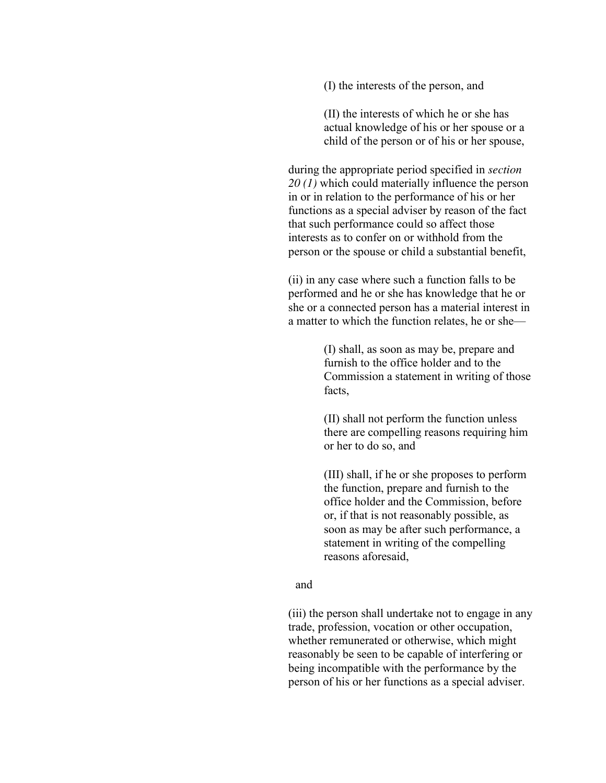(I) the interests of the person, and

(II) the interests of which he or she has actual knowledge of his or her spouse or a child of the person or of his or her spouse,

during the appropriate period specified in *section 20 (1)* which could materially influence the person in or in relation to the performance of his or her functions as a special adviser by reason of the fact that such performance could so affect those interests as to confer on or withhold from the person or the spouse or child a substantial benefit,

(ii) in any case where such a function falls to be performed and he or she has knowledge that he or she or a connected person has a material interest in a matter to which the function relates, he or she—

> (I) shall, as soon as may be, prepare and furnish to the office holder and to the Commission a statement in writing of those facts,

(II) shall not perform the function unless there are compelling reasons requiring him or her to do so, and

(III) shall, if he or she proposes to perform the function, prepare and furnish to the office holder and the Commission, before or, if that is not reasonably possible, as soon as may be after such performance, a statement in writing of the compelling reasons aforesaid,

#### and

(iii) the person shall undertake not to engage in any trade, profession, vocation or other occupation, whether remunerated or otherwise, which might reasonably be seen to be capable of interfering or being incompatible with the performance by the person of his or her functions as a special adviser.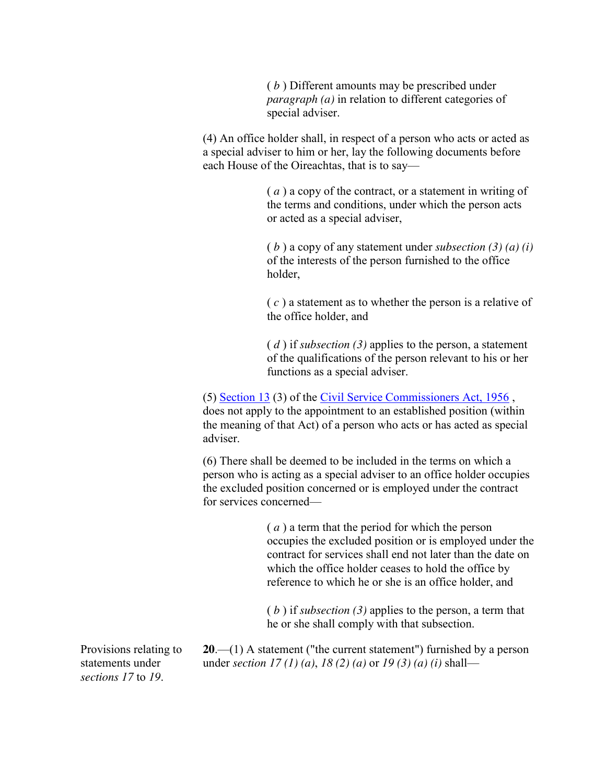( *b* ) Different amounts may be prescribed under *paragraph (a)* in relation to different categories of special adviser.

(4) An office holder shall, in respect of a person who acts or acted as a special adviser to him or her, lay the following documents before each House of the Oireachtas, that is to say—

> ( *a* ) a copy of the contract, or a statement in writing of the terms and conditions, under which the person acts or acted as a special adviser,

( *b* ) a copy of any statement under *subsection (3) (a) (i)* of the interests of the person furnished to the office holder,

( *c* ) a statement as to whether the person is a relative of the office holder, and

( *d* ) if *subsection (3)* applies to the person, a statement of the qualifications of the person relevant to his or her functions as a special adviser.

(5) [Section 13](http://www.irishstatutebook.ie/1956/en/act/pub/0045/sec0013.html#zza45y1956s13) (3) of the [Civil Service Commissioners Act, 1956](http://www.irishstatutebook.ie/1956/en/act/pub/0045/index.html#zza45y1956) , does not apply to the appointment to an established position (within the meaning of that Act) of a person who acts or has acted as special adviser.

(6) There shall be deemed to be included in the terms on which a person who is acting as a special adviser to an office holder occupies the excluded position concerned or is employed under the contract for services concerned—

> ( *a* ) a term that the period for which the person occupies the excluded position or is employed under the contract for services shall end not later than the date on which the office holder ceases to hold the office by reference to which he or she is an office holder, and

( *b* ) if *subsection (3)* applies to the person, a term that he or she shall comply with that subsection.

Provisions relating to statements under *sections 17* to *19*.

**20**.—(1) A statement ("the current statement") furnished by a person under *section 17 (1) (a)*, *18 (2) (a)* or *19 (3) (a) (i)* shall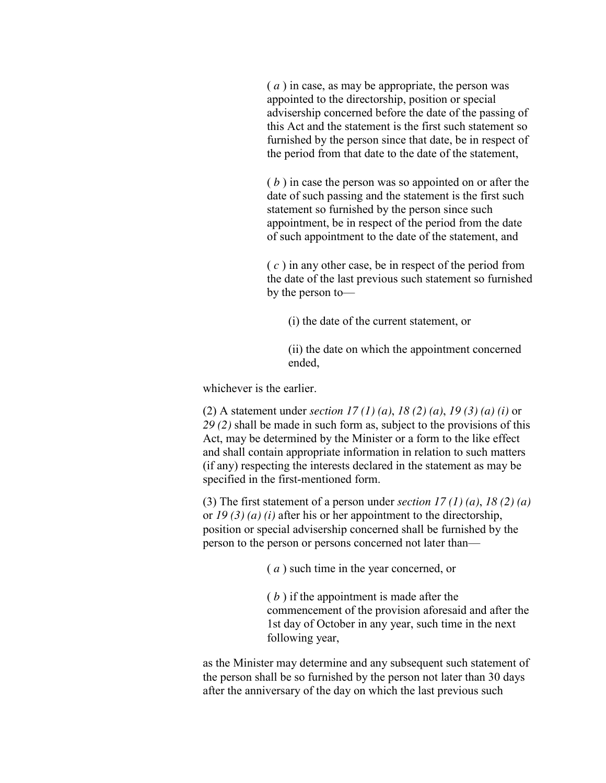( *a* ) in case, as may be appropriate, the person was appointed to the directorship, position or special advisership concerned before the date of the passing of this Act and the statement is the first such statement so furnished by the person since that date, be in respect of the period from that date to the date of the statement,

( *b* ) in case the person was so appointed on or after the date of such passing and the statement is the first such statement so furnished by the person since such appointment, be in respect of the period from the date of such appointment to the date of the statement, and

( *c* ) in any other case, be in respect of the period from the date of the last previous such statement so furnished by the person to—

(i) the date of the current statement, or

(ii) the date on which the appointment concerned ended,

whichever is the earlier.

(2) A statement under *section 17 (1) (a)*, *18 (2) (a)*, *19 (3) (a) (i)* or *29 (2)* shall be made in such form as, subject to the provisions of this Act, may be determined by the Minister or a form to the like effect and shall contain appropriate information in relation to such matters (if any) respecting the interests declared in the statement as may be specified in the first-mentioned form.

(3) The first statement of a person under *section 17 (1) (a)*, *18 (2) (a)* or *19 (3) (a) (i)* after his or her appointment to the directorship, position or special advisership concerned shall be furnished by the person to the person or persons concerned not later than—

( *a* ) such time in the year concerned, or

( *b* ) if the appointment is made after the commencement of the provision aforesaid and after the 1st day of October in any year, such time in the next following year,

as the Minister may determine and any subsequent such statement of the person shall be so furnished by the person not later than 30 days after the anniversary of the day on which the last previous such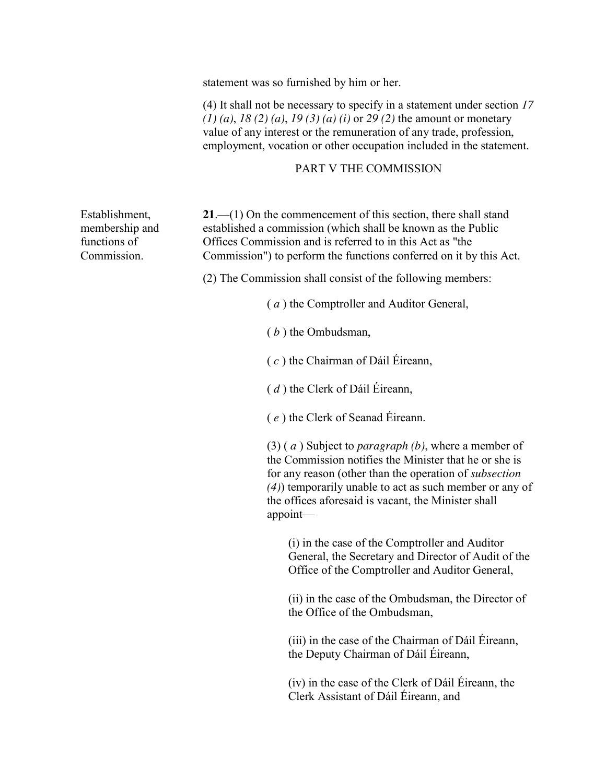statement was so furnished by him or her.

(4) It shall not be necessary to specify in a statement under section *17 (1) (a)*, *18 (2) (a)*, *19 (3) (a) (i)* or *29 (2)* the amount or monetary value of any interest or the remuneration of any trade, profession, employment, vocation or other occupation included in the statement.

#### PART V THE COMMISSION

**21**.—(1) On the commencement of this section, there shall stand established a commission (which shall be known as the Public Offices Commission and is referred to in this Act as "the Commission") to perform the functions conferred on it by this Act.

(2) The Commission shall consist of the following members:

( *a* ) the Comptroller and Auditor General,

( *b* ) the Ombudsman,

( *c* ) the Chairman of Dáil Éireann,

( *d* ) the Clerk of Dáil Éireann,

( *e* ) the Clerk of Seanad Éireann.

(3) ( *a* ) Subject to *paragraph (b)*, where a member of the Commission notifies the Minister that he or she is for any reason (other than the operation of *subsection (4)*) temporarily unable to act as such member or any of the offices aforesaid is vacant, the Minister shall appoint—

(i) in the case of the Comptroller and Auditor General, the Secretary and Director of Audit of the Office of the Comptroller and Auditor General,

(ii) in the case of the Ombudsman, the Director of the Office of the Ombudsman,

(iii) in the case of the Chairman of Dáil Éireann, the Deputy Chairman of Dáil Éireann,

(iv) in the case of the Clerk of Dáil Éireann, the Clerk Assistant of Dáil Éireann, and

Establishment, membership and functions of Commission.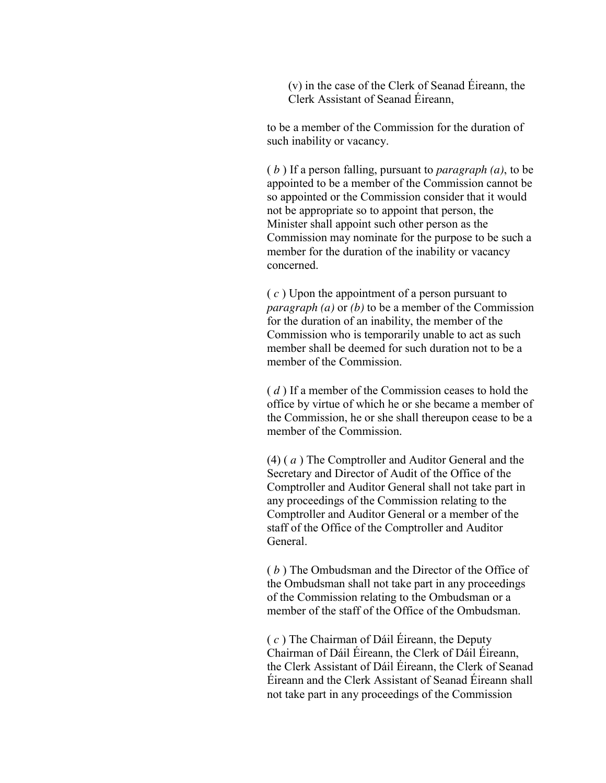(v) in the case of the Clerk of Seanad Éireann, the Clerk Assistant of Seanad Éireann,

to be a member of the Commission for the duration of such inability or vacancy.

( *b* ) If a person falling, pursuant to *paragraph (a)*, to be appointed to be a member of the Commission cannot be so appointed or the Commission consider that it would not be appropriate so to appoint that person, the Minister shall appoint such other person as the Commission may nominate for the purpose to be such a member for the duration of the inability or vacancy concerned.

( *c* ) Upon the appointment of a person pursuant to *paragraph (a)* or *(b)* to be a member of the Commission for the duration of an inability, the member of the Commission who is temporarily unable to act as such member shall be deemed for such duration not to be a member of the Commission.

( *d* ) If a member of the Commission ceases to hold the office by virtue of which he or she became a member of the Commission, he or she shall thereupon cease to be a member of the Commission.

(4) ( *a* ) The Comptroller and Auditor General and the Secretary and Director of Audit of the Office of the Comptroller and Auditor General shall not take part in any proceedings of the Commission relating to the Comptroller and Auditor General or a member of the staff of the Office of the Comptroller and Auditor General.

( *b* ) The Ombudsman and the Director of the Office of the Ombudsman shall not take part in any proceedings of the Commission relating to the Ombudsman or a member of the staff of the Office of the Ombudsman.

( *c* ) The Chairman of Dáil Éireann, the Deputy Chairman of Dáil Éireann, the Clerk of Dáil Éireann, the Clerk Assistant of Dáil Éireann, the Clerk of Seanad Éireann and the Clerk Assistant of Seanad Éireann shall not take part in any proceedings of the Commission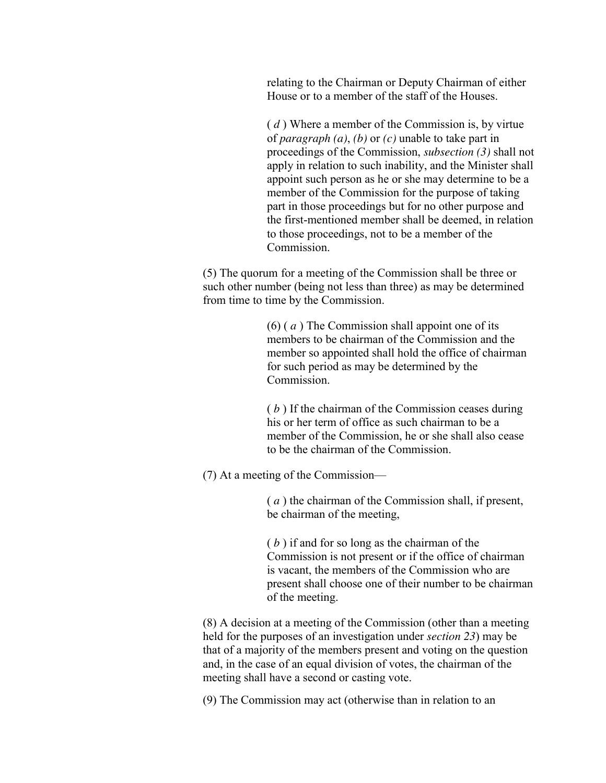relating to the Chairman or Deputy Chairman of either House or to a member of the staff of the Houses.

( *d* ) Where a member of the Commission is, by virtue of *paragraph (a)*, *(b)* or *(c)* unable to take part in proceedings of the Commission, *subsection (3)* shall not apply in relation to such inability, and the Minister shall appoint such person as he or she may determine to be a member of the Commission for the purpose of taking part in those proceedings but for no other purpose and the first-mentioned member shall be deemed, in relation to those proceedings, not to be a member of the Commission.

(5) The quorum for a meeting of the Commission shall be three or such other number (being not less than three) as may be determined from time to time by the Commission.

> (6) ( *a* ) The Commission shall appoint one of its members to be chairman of the Commission and the member so appointed shall hold the office of chairman for such period as may be determined by the Commission.

( *b* ) If the chairman of the Commission ceases during his or her term of office as such chairman to be a member of the Commission, he or she shall also cease to be the chairman of the Commission.

(7) At a meeting of the Commission—

( *a* ) the chairman of the Commission shall, if present, be chairman of the meeting,

( *b* ) if and for so long as the chairman of the Commission is not present or if the office of chairman is vacant, the members of the Commission who are present shall choose one of their number to be chairman of the meeting.

(8) A decision at a meeting of the Commission (other than a meeting held for the purposes of an investigation under *section 23*) may be that of a majority of the members present and voting on the question and, in the case of an equal division of votes, the chairman of the meeting shall have a second or casting vote.

(9) The Commission may act (otherwise than in relation to an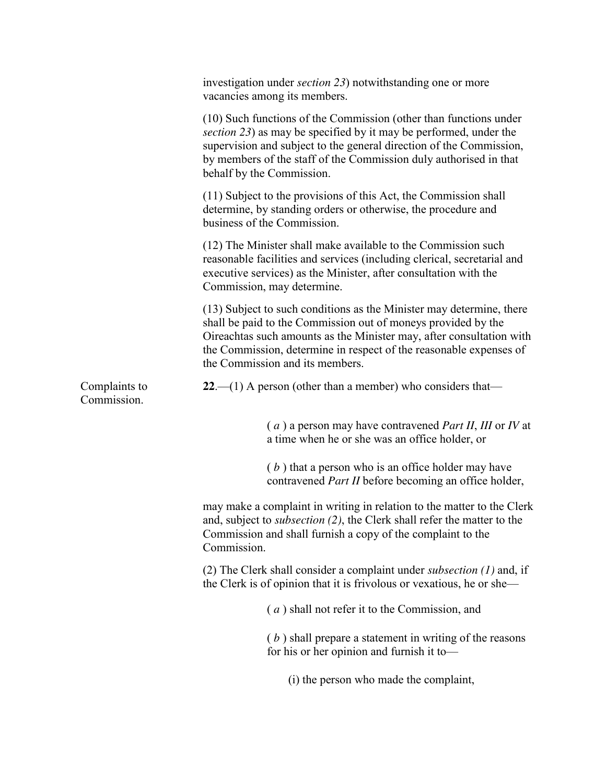|                              | investigation under <i>section</i> 23) notwithstanding one or more<br>vacancies among its members.                                                                                                                                                                                                                     |
|------------------------------|------------------------------------------------------------------------------------------------------------------------------------------------------------------------------------------------------------------------------------------------------------------------------------------------------------------------|
|                              | (10) Such functions of the Commission (other than functions under<br>section 23) as may be specified by it may be performed, under the<br>supervision and subject to the general direction of the Commission,<br>by members of the staff of the Commission duly authorised in that<br>behalf by the Commission.        |
|                              | (11) Subject to the provisions of this Act, the Commission shall<br>determine, by standing orders or otherwise, the procedure and<br>business of the Commission.                                                                                                                                                       |
|                              | (12) The Minister shall make available to the Commission such<br>reasonable facilities and services (including clerical, secretarial and<br>executive services) as the Minister, after consultation with the<br>Commission, may determine.                                                                             |
|                              | (13) Subject to such conditions as the Minister may determine, there<br>shall be paid to the Commission out of moneys provided by the<br>Oireachtas such amounts as the Minister may, after consultation with<br>the Commission, determine in respect of the reasonable expenses of<br>the Commission and its members. |
| Complaints to<br>Commission. | 22.—(1) A person (other than a member) who considers that—                                                                                                                                                                                                                                                             |
|                              | $(a)$ a person may have contravened <i>Part II</i> , <i>III</i> or <i>IV</i> at<br>a time when he or she was an office holder, or                                                                                                                                                                                      |
|                              | $(b)$ that a person who is an office holder may have<br>contravened <i>Part II</i> before becoming an office holder,                                                                                                                                                                                                   |
|                              | may make a complaint in writing in relation to the matter to the Clerk<br>and, subject to <i>subsection</i> (2), the Clerk shall refer the matter to the<br>Commission and shall furnish a copy of the complaint to the<br>Commission.                                                                                 |
|                              | (2) The Clerk shall consider a complaint under <i>subsection</i> $(1)$ and, if<br>the Clerk is of opinion that it is frivolous or vexatious, he or she—                                                                                                                                                                |
|                              | $(a)$ shall not refer it to the Commission, and                                                                                                                                                                                                                                                                        |
|                              | $(b)$ shall prepare a statement in writing of the reasons<br>for his or her opinion and furnish it to-                                                                                                                                                                                                                 |
|                              | (i) the person who made the complaint,                                                                                                                                                                                                                                                                                 |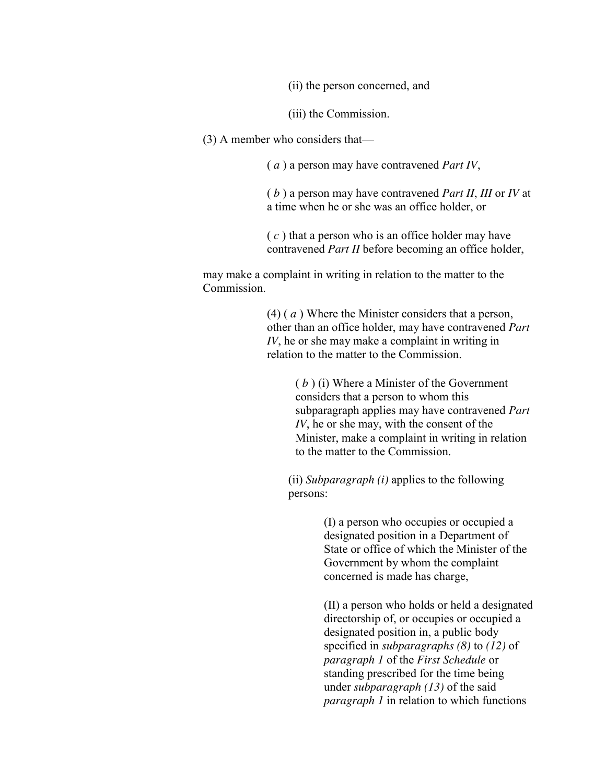(ii) the person concerned, and

(iii) the Commission.

(3) A member who considers that—

( *a* ) a person may have contravened *Part IV*,

( *b* ) a person may have contravened *Part II*, *III* or *IV* at a time when he or she was an office holder, or

( *c* ) that a person who is an office holder may have contravened *Part II* before becoming an office holder,

may make a complaint in writing in relation to the matter to the **Commission** 

> (4) ( *a* ) Where the Minister considers that a person, other than an office holder, may have contravened *Part IV*, he or she may make a complaint in writing in relation to the matter to the Commission.

> > ( *b* ) (i) Where a Minister of the Government considers that a person to whom this subparagraph applies may have contravened *Part IV*, he or she may, with the consent of the Minister, make a complaint in writing in relation to the matter to the Commission.

(ii) *Subparagraph (i)* applies to the following persons:

> (I) a person who occupies or occupied a designated position in a Department of State or office of which the Minister of the Government by whom the complaint concerned is made has charge,

(II) a person who holds or held a designated directorship of, or occupies or occupied a designated position in, a public body specified in *subparagraphs (8)* to *(12)* of *paragraph 1* of the *First Schedule* or standing prescribed for the time being under *subparagraph (13)* of the said *paragraph 1* in relation to which functions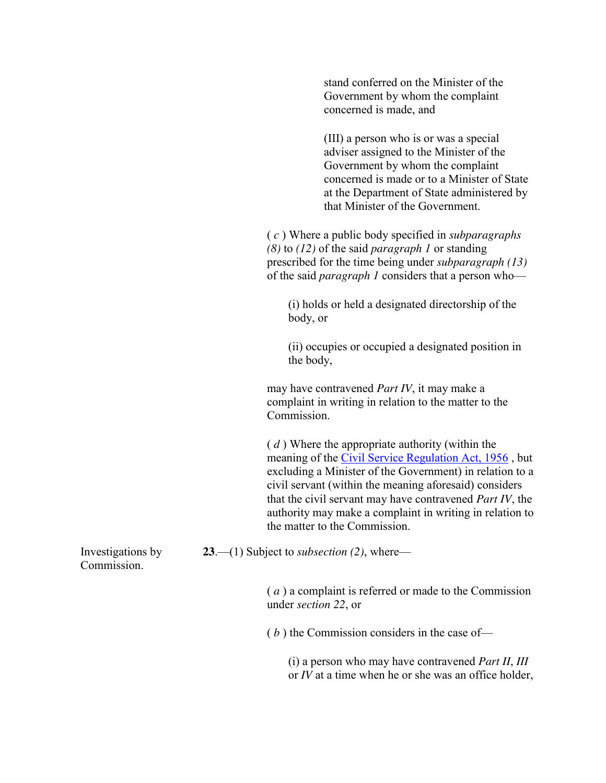stand conferred on the Minister of the Government by whom the complaint concerned is made, and

(III) a person who is or was a special adviser assigned to the Minister of the Government by whom the complaint concerned is made or to a Minister of State at the Department of State administered by that Minister of the Government.

( *c* ) Where a public body specified in *subparagraphs (8)* to *(12)* of the said *paragraph 1* or standing prescribed for the time being under *subparagraph (13)* of the said *paragraph 1* considers that a person who—

(i) holds or held a designated directorship of the body, or

(ii) occupies or occupied a designated position in the body,

may have contravened *Part IV*, it may make a complaint in writing in relation to the matter to the Commission.

( *d* ) Where the appropriate authority (within the meaning of the [Civil Service Regulation Act, 1956](http://www.irishstatutebook.ie/1956/en/act/pub/0046/index.html#zza46y1956) , but excluding a Minister of the Government) in relation to a civil servant (within the meaning aforesaid) considers that the civil servant may have contravened *Part IV*, the authority may make a complaint in writing in relation to the matter to the Commission.

**23**.—(1) Subject to *subsection (2)*, where—

Investigations by Commission.

> ( *a* ) a complaint is referred or made to the Commission under *section 22*, or

( *b* ) the Commission considers in the case of—

(i) a person who may have contravened *Part II*, *III* or *IV* at a time when he or she was an office holder,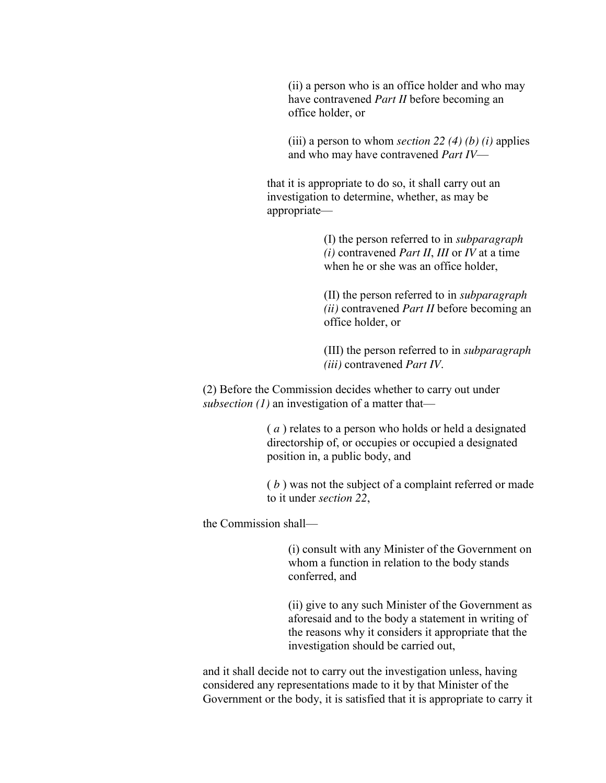(ii) a person who is an office holder and who may have contravened *Part II* before becoming an office holder, or

(iii) a person to whom *section 22 (4) (b) (i)* applies and who may have contravened *Part IV*—

that it is appropriate to do so, it shall carry out an investigation to determine, whether, as may be appropriate—

> (I) the person referred to in *subparagraph (i)* contravened *Part II*, *III* or *IV* at a time when he or she was an office holder,

(II) the person referred to in *subparagraph (ii)* contravened *Part II* before becoming an office holder, or

(III) the person referred to in *subparagraph (iii)* contravened *Part IV*.

(2) Before the Commission decides whether to carry out under *subsection (1)* an investigation of a matter that—

> ( *a* ) relates to a person who holds or held a designated directorship of, or occupies or occupied a designated position in, a public body, and

( *b* ) was not the subject of a complaint referred or made to it under *section 22*,

the Commission shall—

(i) consult with any Minister of the Government on whom a function in relation to the body stands conferred, and

(ii) give to any such Minister of the Government as aforesaid and to the body a statement in writing of the reasons why it considers it appropriate that the investigation should be carried out,

and it shall decide not to carry out the investigation unless, having considered any representations made to it by that Minister of the Government or the body, it is satisfied that it is appropriate to carry it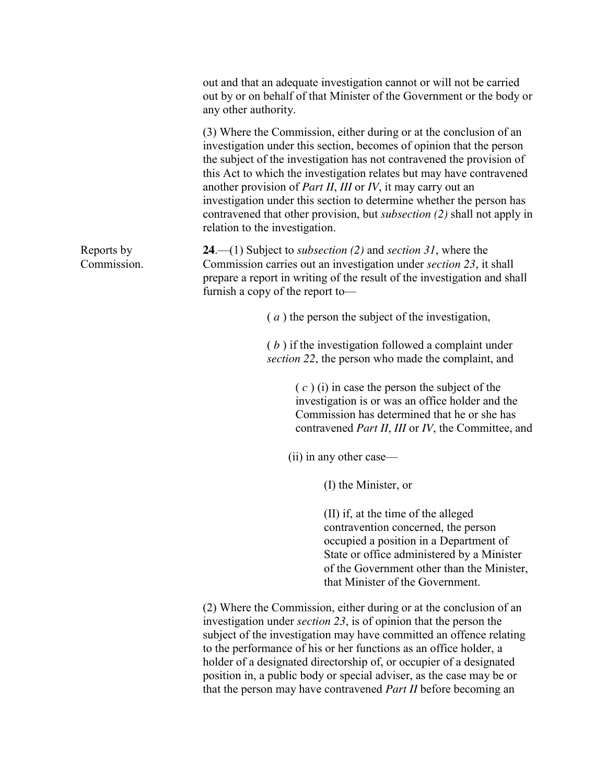|                           | out and that an adequate investigation cannot or will not be carried<br>out by or on behalf of that Minister of the Government or the body or<br>any other authority.                                                                                                                                                                                                                                                                                                                                                                                                          |
|---------------------------|--------------------------------------------------------------------------------------------------------------------------------------------------------------------------------------------------------------------------------------------------------------------------------------------------------------------------------------------------------------------------------------------------------------------------------------------------------------------------------------------------------------------------------------------------------------------------------|
|                           | (3) Where the Commission, either during or at the conclusion of an<br>investigation under this section, becomes of opinion that the person<br>the subject of the investigation has not contravened the provision of<br>this Act to which the investigation relates but may have contravened<br>another provision of <i>Part II</i> , <i>III</i> or <i>IV</i> , it may carry out an<br>investigation under this section to determine whether the person has<br>contravened that other provision, but <i>subsection</i> (2) shall not apply in<br>relation to the investigation. |
| Reports by<br>Commission. | <b>24</b> .—(1) Subject to <i>subsection</i> (2) and <i>section</i> 31, where the<br>Commission carries out an investigation under <i>section</i> 23, it shall<br>prepare a report in writing of the result of the investigation and shall<br>furnish a copy of the report to-                                                                                                                                                                                                                                                                                                 |
|                           | $(a)$ the person the subject of the investigation,                                                                                                                                                                                                                                                                                                                                                                                                                                                                                                                             |
|                           | $(b)$ if the investigation followed a complaint under<br>section 22, the person who made the complaint, and                                                                                                                                                                                                                                                                                                                                                                                                                                                                    |
|                           | $(c)$ (i) in case the person the subject of the<br>investigation is or was an office holder and the<br>Commission has determined that he or she has<br>contravened Part II, III or IV, the Committee, and                                                                                                                                                                                                                                                                                                                                                                      |
|                           | (ii) in any other case—                                                                                                                                                                                                                                                                                                                                                                                                                                                                                                                                                        |
|                           | (I) the Minister, or                                                                                                                                                                                                                                                                                                                                                                                                                                                                                                                                                           |
|                           | (II) if, at the time of the alleged<br>contravention concerned, the person<br>occupied a position in a Department of<br>State or office administered by a Minister<br>of the Government other than the Minister,<br>that Minister of the Government.                                                                                                                                                                                                                                                                                                                           |
|                           | (2) Where the Commission, either during or at the conclusion of an                                                                                                                                                                                                                                                                                                                                                                                                                                                                                                             |

investigation under *section 23*, is of opinion that the person the subject of the investigation may have committed an offence relating to the performance of his or her functions as an office holder, a holder of a designated directorship of, or occupier of a designated position in, a public body or special adviser, as the case may be or that the person may have contravened *Part II* before becoming an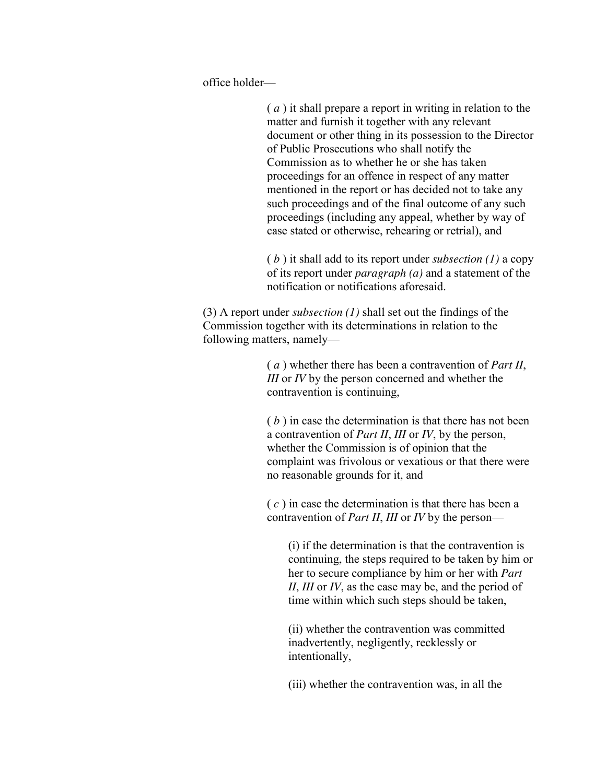office holder—

( *a* ) it shall prepare a report in writing in relation to the matter and furnish it together with any relevant document or other thing in its possession to the Director of Public Prosecutions who shall notify the Commission as to whether he or she has taken proceedings for an offence in respect of any matter mentioned in the report or has decided not to take any such proceedings and of the final outcome of any such proceedings (including any appeal, whether by way of case stated or otherwise, rehearing or retrial), and

( *b* ) it shall add to its report under *subsection (1)* a copy of its report under *paragraph (a)* and a statement of the notification or notifications aforesaid.

(3) A report under *subsection (1)* shall set out the findings of the Commission together with its determinations in relation to the following matters, namely—

> ( *a* ) whether there has been a contravention of *Part II*, *III* or *IV* by the person concerned and whether the contravention is continuing,

( *b* ) in case the determination is that there has not been a contravention of *Part II*, *III* or *IV*, by the person, whether the Commission is of opinion that the complaint was frivolous or vexatious or that there were no reasonable grounds for it, and

( *c* ) in case the determination is that there has been a contravention of *Part II*, *III* or *IV* by the person—

(i) if the determination is that the contravention is continuing, the steps required to be taken by him or her to secure compliance by him or her with *Part II*, *III* or *IV*, as the case may be, and the period of time within which such steps should be taken,

(ii) whether the contravention was committed inadvertently, negligently, recklessly or intentionally,

(iii) whether the contravention was, in all the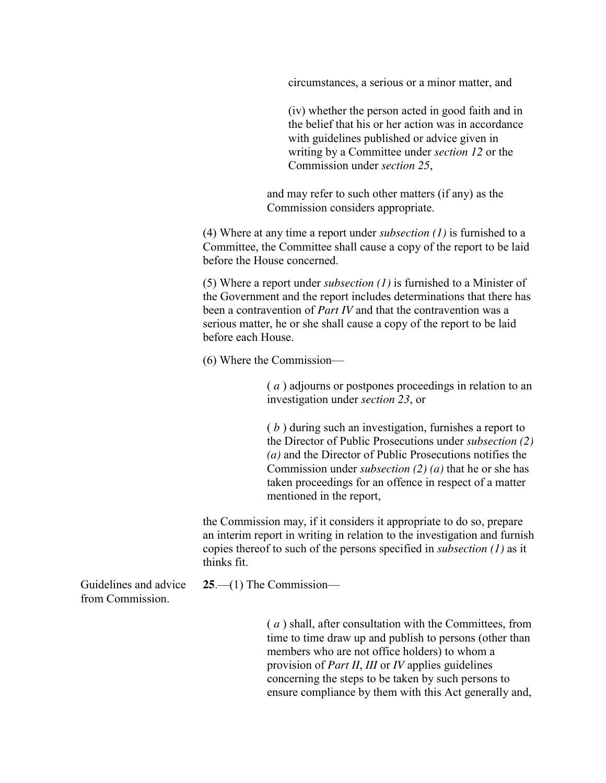circumstances, a serious or a minor matter, and

(iv) whether the person acted in good faith and in the belief that his or her action was in accordance with guidelines published or advice given in writing by a Committee under *section 12* or the Commission under *section 25*,

and may refer to such other matters (if any) as the Commission considers appropriate.

(4) Where at any time a report under *subsection (1)* is furnished to a Committee, the Committee shall cause a copy of the report to be laid before the House concerned.

(5) Where a report under *subsection (1)* is furnished to a Minister of the Government and the report includes determinations that there has been a contravention of *Part IV* and that the contravention was a serious matter, he or she shall cause a copy of the report to be laid before each House.

(6) Where the Commission—

( *a* ) adjourns or postpones proceedings in relation to an investigation under *section 23*, or

( *b* ) during such an investigation, furnishes a report to the Director of Public Prosecutions under *subsection (2) (a)* and the Director of Public Prosecutions notifies the Commission under *subsection (2) (a)* that he or she has taken proceedings for an offence in respect of a matter mentioned in the report,

the Commission may, if it considers it appropriate to do so, prepare an interim report in writing in relation to the investigation and furnish copies thereof to such of the persons specified in *subsection (1)* as it thinks fit.

Guidelines and advice from Commission.

**25**.—(1) The Commission—

( *a* ) shall, after consultation with the Committees, from time to time draw up and publish to persons (other than members who are not office holders) to whom a provision of *Part II*, *III* or *IV* applies guidelines concerning the steps to be taken by such persons to ensure compliance by them with this Act generally and,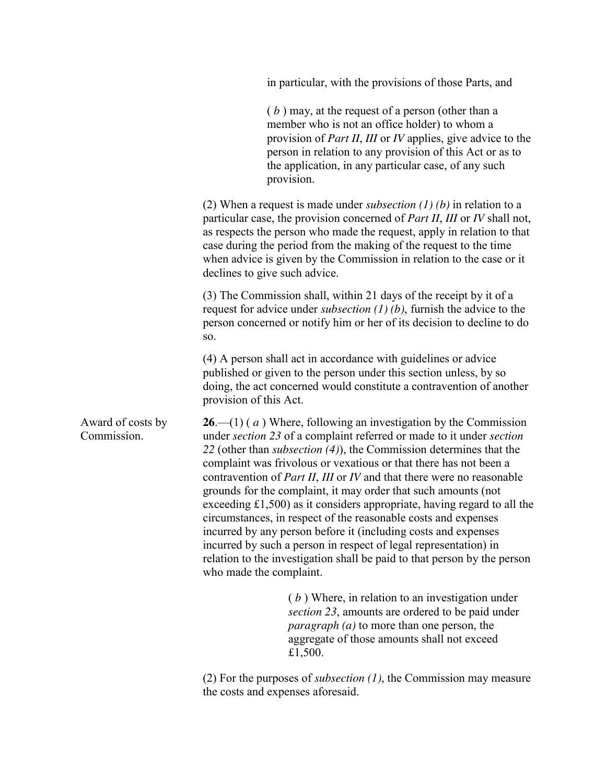|                                  | in particular, with the provisions of those Parts, and                                                                                                                                                                                                                                                                                                                                                                                                                                                                                                                                                                                                                                                                                                                                                                                                               |
|----------------------------------|----------------------------------------------------------------------------------------------------------------------------------------------------------------------------------------------------------------------------------------------------------------------------------------------------------------------------------------------------------------------------------------------------------------------------------------------------------------------------------------------------------------------------------------------------------------------------------------------------------------------------------------------------------------------------------------------------------------------------------------------------------------------------------------------------------------------------------------------------------------------|
|                                  | $(b)$ may, at the request of a person (other than a<br>member who is not an office holder) to whom a<br>provision of <i>Part II, III</i> or <i>IV</i> applies, give advice to the<br>person in relation to any provision of this Act or as to<br>the application, in any particular case, of any such<br>provision.                                                                                                                                                                                                                                                                                                                                                                                                                                                                                                                                                  |
|                                  | (2) When a request is made under <i>subsection</i> $(1)$ $(b)$ in relation to a<br>particular case, the provision concerned of <i>Part II</i> , <i>III</i> or <i>IV</i> shall not,<br>as respects the person who made the request, apply in relation to that<br>case during the period from the making of the request to the time<br>when advice is given by the Commission in relation to the case or it<br>declines to give such advice.                                                                                                                                                                                                                                                                                                                                                                                                                           |
|                                  | (3) The Commission shall, within 21 days of the receipt by it of a<br>request for advice under <i>subsection</i> $(1)$ $(b)$ , furnish the advice to the<br>person concerned or notify him or her of its decision to decline to do<br>SO.                                                                                                                                                                                                                                                                                                                                                                                                                                                                                                                                                                                                                            |
|                                  | (4) A person shall act in accordance with guidelines or advice<br>published or given to the person under this section unless, by so<br>doing, the act concerned would constitute a contravention of another<br>provision of this Act.                                                                                                                                                                                                                                                                                                                                                                                                                                                                                                                                                                                                                                |
| Award of costs by<br>Commission. | <b>26.</b> —(1) ( $a$ ) Where, following an investigation by the Commission<br>under section 23 of a complaint referred or made to it under section<br>22 (other than <i>subsection</i> $(4)$ ), the Commission determines that the<br>complaint was frivolous or vexatious or that there has not been a<br>contravention of <i>Part II</i> , <i>III</i> or <i>IV</i> and that there were no reasonable<br>grounds for the complaint, it may order that such amounts (not<br>exceeding $£1,500$ as it considers appropriate, having regard to all the<br>circumstances, in respect of the reasonable costs and expenses<br>incurred by any person before it (including costs and expenses<br>incurred by such a person in respect of legal representation) in<br>relation to the investigation shall be paid to that person by the person<br>who made the complaint. |
|                                  | $(b)$ Where, in relation to an investigation under<br>section 23, amounts are ordered to be paid under<br><i>paragraph</i> ( <i>a</i> ) to more than one person, the<br>aggregate of those amounts shall not exceed<br>£1,500.                                                                                                                                                                                                                                                                                                                                                                                                                                                                                                                                                                                                                                       |
|                                  |                                                                                                                                                                                                                                                                                                                                                                                                                                                                                                                                                                                                                                                                                                                                                                                                                                                                      |

(2) For the purposes of *subsection (1)*, the Commission may measure the costs and expenses aforesaid.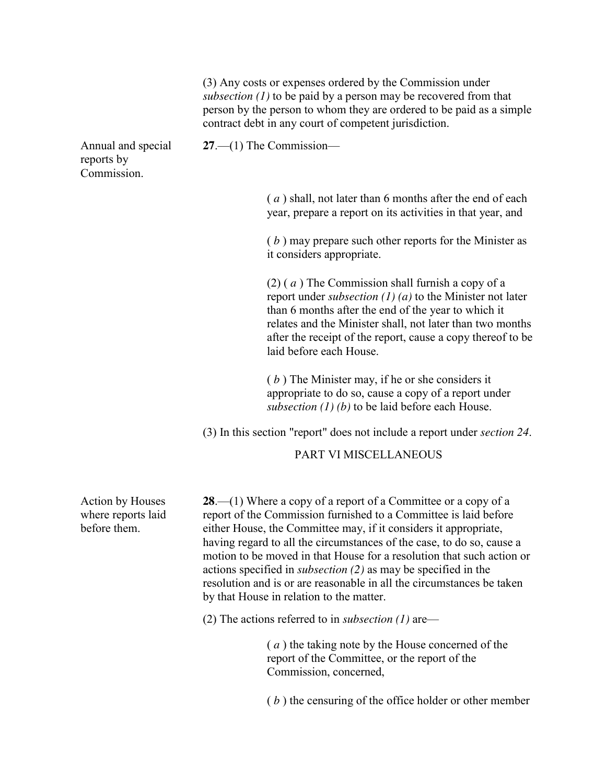(3) Any costs or expenses ordered by the Commission under *subsection (1)* to be paid by a person may be recovered from that person by the person to whom they are ordered to be paid as a simple contract debt in any court of competent jurisdiction.

Annual and special reports by Commission.

**27**.—(1) The Commission—

( *a* ) shall, not later than 6 months after the end of each year, prepare a report on its activities in that year, and

( *b* ) may prepare such other reports for the Minister as it considers appropriate.

(2) ( *a* ) The Commission shall furnish a copy of a report under *subsection (1) (a)* to the Minister not later than 6 months after the end of the year to which it relates and the Minister shall, not later than two months after the receipt of the report, cause a copy thereof to be laid before each House.

( *b* ) The Minister may, if he or she considers it appropriate to do so, cause a copy of a report under *subsection (1) (b)* to be laid before each House.

(3) In this section "report" does not include a report under *section 24*.

PART VI MISCELLANEOUS

**28.**—(1) Where a copy of a report of a Committee or a copy of a report of the Commission furnished to a Committee is laid before either House, the Committee may, if it considers it appropriate, having regard to all the circumstances of the case, to do so, cause a motion to be moved in that House for a resolution that such action or actions specified in *subsection (2)* as may be specified in the resolution and is or are reasonable in all the circumstances be taken by that House in relation to the matter.

(2) The actions referred to in *subsection (1)* are—

( *a* ) the taking note by the House concerned of the report of the Committee, or the report of the Commission, concerned,

( *b* ) the censuring of the office holder or other member

Action by Houses where reports laid before them.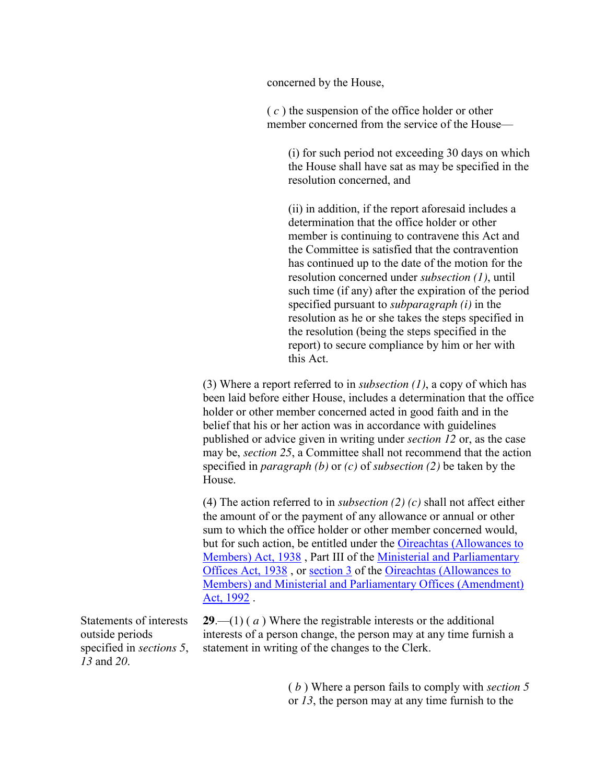concerned by the House,

( *c* ) the suspension of the office holder or other member concerned from the service of the House—

(i) for such period not exceeding 30 days on which the House shall have sat as may be specified in the resolution concerned, and

(ii) in addition, if the report aforesaid includes a determination that the office holder or other member is continuing to contravene this Act and the Committee is satisfied that the contravention has continued up to the date of the motion for the resolution concerned under *subsection (1)*, until such time (if any) after the expiration of the period specified pursuant to *subparagraph (i)* in the resolution as he or she takes the steps specified in the resolution (being the steps specified in the report) to secure compliance by him or her with this Act.

(3) Where a report referred to in *subsection (1)*, a copy of which has been laid before either House, includes a determination that the office holder or other member concerned acted in good faith and in the belief that his or her action was in accordance with guidelines published or advice given in writing under *section 12* or, as the case may be, *section 25*, a Committee shall not recommend that the action specified in *paragraph (b)* or *(c)* of *subsection (2)* be taken by the House.

(4) The action referred to in *subsection (2) (c)* shall not affect either the amount of or the payment of any allowance or annual or other sum to which the office holder or other member concerned would, but for such action, be entitled under the [Oireachtas \(Allowances to](http://www.irishstatutebook.ie/1938/en/act/pub/0034/index.html#zza34y1938)  [Members\) Act, 1938](http://www.irishstatutebook.ie/1938/en/act/pub/0034/index.html#zza34y1938) , Part III of the [Ministerial and Parliamentary](http://www.irishstatutebook.ie/1938/en/act/pub/0038/index.html#zza38y1938)  [Offices Act, 1938](http://www.irishstatutebook.ie/1938/en/act/pub/0038/index.html#zza38y1938) , or [section 3](http://www.irishstatutebook.ie/1992/en/act/pub/0003/sec0003.html#zza3y1992s3) of the [Oireachtas \(Allowances to](http://www.irishstatutebook.ie/1992/en/act/pub/0003/index.html#zza3y1992)  [Members\) and Ministerial and Parliamentary Offices \(Amendment\)](http://www.irishstatutebook.ie/1992/en/act/pub/0003/index.html#zza3y1992)  [Act, 1992](http://www.irishstatutebook.ie/1992/en/act/pub/0003/index.html#zza3y1992) .

Statements of interests outside periods specified in *sections 5*, *13* and *20*.

**29**.—(1) ( *a* ) Where the registrable interests or the additional interests of a person change, the person may at any time furnish a statement in writing of the changes to the Clerk.

> ( *b* ) Where a person fails to comply with *section 5* or *13*, the person may at any time furnish to the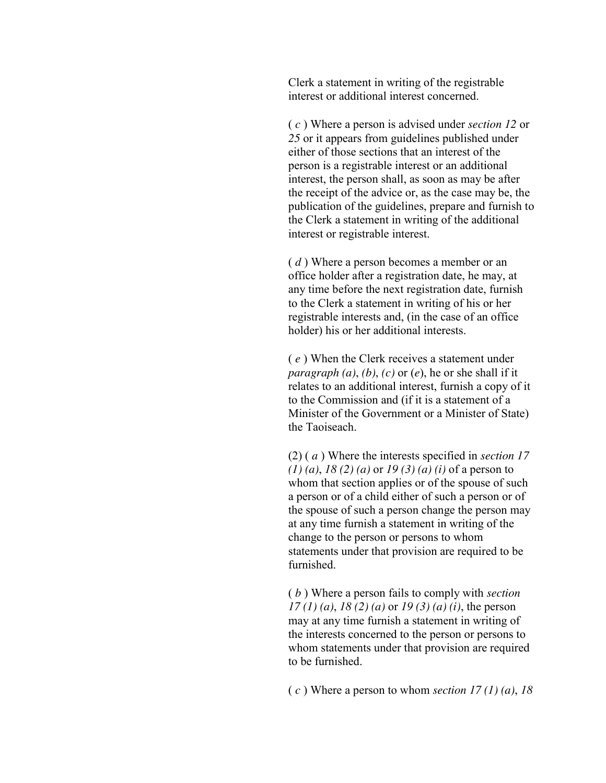Clerk a statement in writing of the registrable interest or additional interest concerned.

( *c* ) Where a person is advised under *section 12* or *25* or it appears from guidelines published under either of those sections that an interest of the person is a registrable interest or an additional interest, the person shall, as soon as may be after the receipt of the advice or, as the case may be, the publication of the guidelines, prepare and furnish to the Clerk a statement in writing of the additional interest or registrable interest.

( *d* ) Where a person becomes a member or an office holder after a registration date, he may, at any time before the next registration date, furnish to the Clerk a statement in writing of his or her registrable interests and, (in the case of an office holder) his or her additional interests.

( *e* ) When the Clerk receives a statement under *paragraph*  $(a)$ ,  $(b)$ ,  $(c)$  or  $(e)$ , he or she shall if it relates to an additional interest, furnish a copy of it to the Commission and (if it is a statement of a Minister of the Government or a Minister of State) the Taoiseach.

(2) ( *a* ) Where the interests specified in *section 17 (1) (a)*, *18 (2) (a)* or *19 (3) (a) (i)* of a person to whom that section applies or of the spouse of such a person or of a child either of such a person or of the spouse of such a person change the person may at any time furnish a statement in writing of the change to the person or persons to whom statements under that provision are required to be furnished.

( *b* ) Where a person fails to comply with *section 17 (1) (a)*, *18 (2) (a)* or *19 (3) (a) (i)*, the person may at any time furnish a statement in writing of the interests concerned to the person or persons to whom statements under that provision are required to be furnished.

( *c* ) Where a person to whom *section 17 (1) (a)*, *18*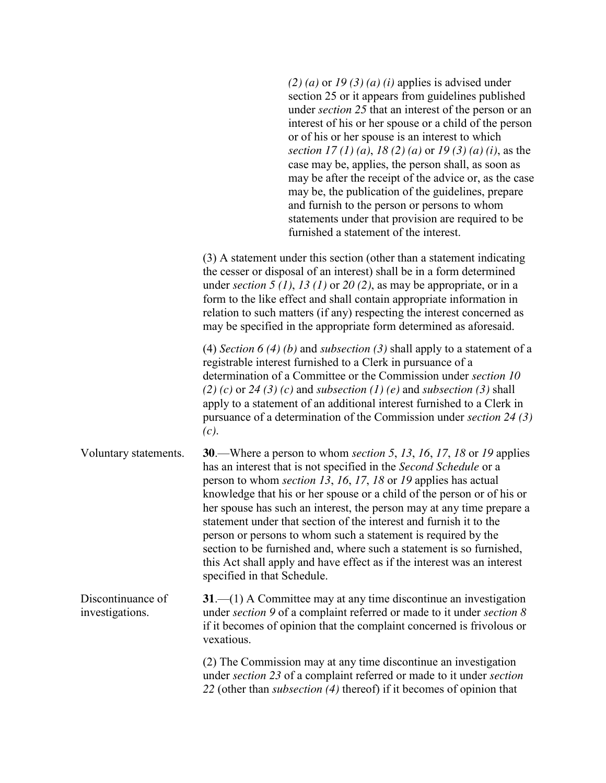|                                      | $(2)$ (a) or 19 (3) (a) (i) applies is advised under<br>section 25 or it appears from guidelines published<br>under <i>section</i> 25 that an interest of the person or an<br>interest of his or her spouse or a child of the person<br>or of his or her spouse is an interest to which<br>section 17 (1) (a), 18 (2) (a) or 19 (3) (a) (i), as the<br>case may be, applies, the person shall, as soon as<br>may be after the receipt of the advice or, as the case<br>may be, the publication of the guidelines, prepare<br>and furnish to the person or persons to whom<br>statements under that provision are required to be<br>furnished a statement of the interest.                             |
|--------------------------------------|-------------------------------------------------------------------------------------------------------------------------------------------------------------------------------------------------------------------------------------------------------------------------------------------------------------------------------------------------------------------------------------------------------------------------------------------------------------------------------------------------------------------------------------------------------------------------------------------------------------------------------------------------------------------------------------------------------|
|                                      | (3) A statement under this section (other than a statement indicating<br>the cesser or disposal of an interest) shall be in a form determined<br>under section 5 (1), 13 (1) or 20 (2), as may be appropriate, or in a<br>form to the like effect and shall contain appropriate information in<br>relation to such matters (if any) respecting the interest concerned as<br>may be specified in the appropriate form determined as aforesaid.                                                                                                                                                                                                                                                         |
|                                      | (4) Section 6 (4) (b) and subsection (3) shall apply to a statement of a<br>registrable interest furnished to a Clerk in pursuance of a<br>determination of a Committee or the Commission under section 10<br>$(2)$ (c) or 24 (3) (c) and subsection (1) (e) and subsection (3) shall<br>apply to a statement of an additional interest furnished to a Clerk in<br>pursuance of a determination of the Commission under section 24 (3)<br>(c).                                                                                                                                                                                                                                                        |
| Voluntary statements.                | <b>30</b> .—Where a person to whom section 5, 13, 16, 17, 18 or 19 applies<br>has an interest that is not specified in the Second Schedule or a<br>person to whom <i>section 13</i> , 16, 17, 18 or 19 applies has actual<br>knowledge that his or her spouse or a child of the person or of his or<br>her spouse has such an interest, the person may at any time prepare a<br>statement under that section of the interest and furnish it to the<br>person or persons to whom such a statement is required by the<br>section to be furnished and, where such a statement is so furnished,<br>this Act shall apply and have effect as if the interest was an interest<br>specified in that Schedule. |
| Discontinuance of<br>investigations. | $31$ —(1) A Committee may at any time discontinue an investigation<br>under section 9 of a complaint referred or made to it under section 8<br>if it becomes of opinion that the complaint concerned is frivolous or<br>vexatious.                                                                                                                                                                                                                                                                                                                                                                                                                                                                    |
|                                      | (2) The Commission may at any time discontinue an investigation<br>under section 23 of a complaint referred or made to it under section<br>22 (other than <i>subsection</i> (4) thereof) if it becomes of opinion that                                                                                                                                                                                                                                                                                                                                                                                                                                                                                |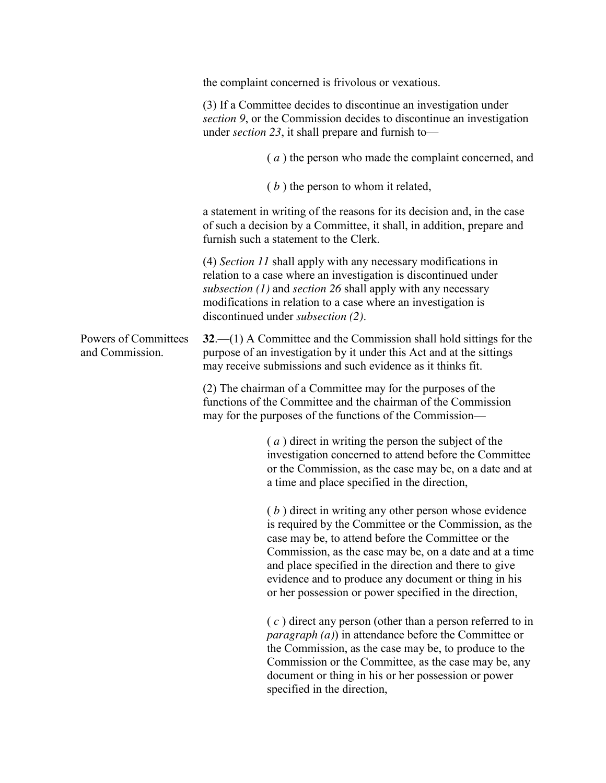|                                         | the complaint concerned is frivolous or vexatious.                                                                                                                                                                                                                                                                                                                                                             |
|-----------------------------------------|----------------------------------------------------------------------------------------------------------------------------------------------------------------------------------------------------------------------------------------------------------------------------------------------------------------------------------------------------------------------------------------------------------------|
|                                         | (3) If a Committee decides to discontinue an investigation under<br>section 9, or the Commission decides to discontinue an investigation<br>under section 23, it shall prepare and furnish to-                                                                                                                                                                                                                 |
|                                         | (a) the person who made the complaint concerned, and                                                                                                                                                                                                                                                                                                                                                           |
|                                         | $(b)$ the person to whom it related,                                                                                                                                                                                                                                                                                                                                                                           |
|                                         | a statement in writing of the reasons for its decision and, in the case<br>of such a decision by a Committee, it shall, in addition, prepare and<br>furnish such a statement to the Clerk.                                                                                                                                                                                                                     |
|                                         | (4) Section 11 shall apply with any necessary modifications in<br>relation to a case where an investigation is discontinued under<br>subsection $(1)$ and section 26 shall apply with any necessary<br>modifications in relation to a case where an investigation is<br>discontinued under subsection (2).                                                                                                     |
| Powers of Committees<br>and Commission. | $32-$ (1) A Committee and the Commission shall hold sittings for the<br>purpose of an investigation by it under this Act and at the sittings<br>may receive submissions and such evidence as it thinks fit.                                                                                                                                                                                                    |
|                                         | (2) The chairman of a Committee may for the purposes of the<br>functions of the Committee and the chairman of the Commission<br>may for the purposes of the functions of the Commission—                                                                                                                                                                                                                       |
|                                         | (a) direct in writing the person the subject of the<br>investigation concerned to attend before the Committee<br>or the Commission, as the case may be, on a date and at<br>a time and place specified in the direction,                                                                                                                                                                                       |
|                                         | $(b)$ direct in writing any other person whose evidence<br>is required by the Committee or the Commission, as the<br>case may be, to attend before the Committee or the<br>Commission, as the case may be, on a date and at a time<br>and place specified in the direction and there to give<br>evidence and to produce any document or thing in his<br>or her possession or power specified in the direction, |
|                                         | $(c)$ direct any person (other than a person referred to in<br><i>paragraph</i> $(a)$ ) in attendance before the Committee or<br>the Commission, as the case may be, to produce to the<br>Commission or the Committee, as the case may be, any<br>document or thing in his or her possession or power<br>specified in the direction,                                                                           |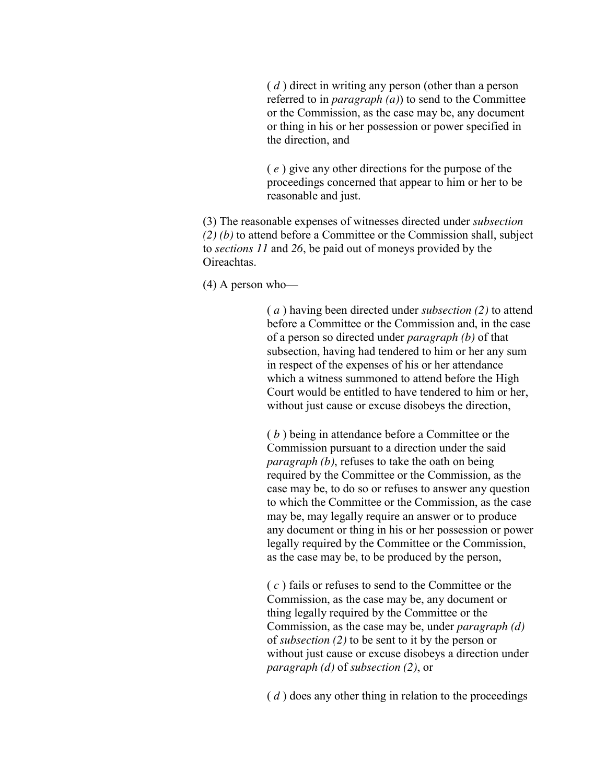( *d* ) direct in writing any person (other than a person referred to in *paragraph (a)*) to send to the Committee or the Commission, as the case may be, any document or thing in his or her possession or power specified in the direction, and

( *e* ) give any other directions for the purpose of the proceedings concerned that appear to him or her to be reasonable and just.

(3) The reasonable expenses of witnesses directed under *subsection (2) (b)* to attend before a Committee or the Commission shall, subject to *sections 11* and *26*, be paid out of moneys provided by the Oireachtas.

(4) A person who—

( *a* ) having been directed under *subsection (2)* to attend before a Committee or the Commission and, in the case of a person so directed under *paragraph (b)* of that subsection, having had tendered to him or her any sum in respect of the expenses of his or her attendance which a witness summoned to attend before the High Court would be entitled to have tendered to him or her, without just cause or excuse disobeys the direction,

( *b* ) being in attendance before a Committee or the Commission pursuant to a direction under the said *paragraph (b)*, refuses to take the oath on being required by the Committee or the Commission, as the case may be, to do so or refuses to answer any question to which the Committee or the Commission, as the case may be, may legally require an answer or to produce any document or thing in his or her possession or power legally required by the Committee or the Commission, as the case may be, to be produced by the person,

( *c* ) fails or refuses to send to the Committee or the Commission, as the case may be, any document or thing legally required by the Committee or the Commission, as the case may be, under *paragraph (d)* of *subsection (2)* to be sent to it by the person or without just cause or excuse disobeys a direction under *paragraph (d)* of *subsection (2)*, or

( *d* ) does any other thing in relation to the proceedings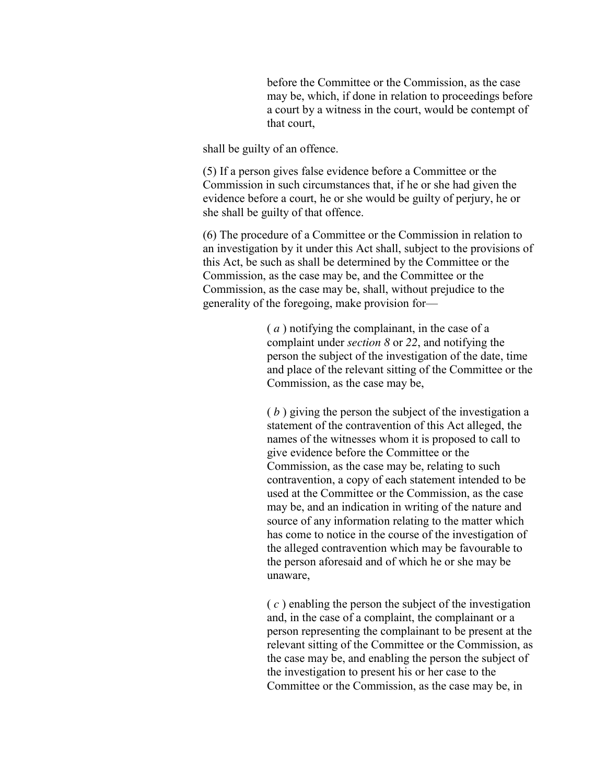before the Committee or the Commission, as the case may be, which, if done in relation to proceedings before a court by a witness in the court, would be contempt of that court,

shall be guilty of an offence.

(5) If a person gives false evidence before a Committee or the Commission in such circumstances that, if he or she had given the evidence before a court, he or she would be guilty of perjury, he or she shall be guilty of that offence.

(6) The procedure of a Committee or the Commission in relation to an investigation by it under this Act shall, subject to the provisions of this Act, be such as shall be determined by the Committee or the Commission, as the case may be, and the Committee or the Commission, as the case may be, shall, without prejudice to the generality of the foregoing, make provision for—

> ( *a* ) notifying the complainant, in the case of a complaint under *section 8* or *22*, and notifying the person the subject of the investigation of the date, time and place of the relevant sitting of the Committee or the Commission, as the case may be,

( *b* ) giving the person the subject of the investigation a statement of the contravention of this Act alleged, the names of the witnesses whom it is proposed to call to give evidence before the Committee or the Commission, as the case may be, relating to such contravention, a copy of each statement intended to be used at the Committee or the Commission, as the case may be, and an indication in writing of the nature and source of any information relating to the matter which has come to notice in the course of the investigation of the alleged contravention which may be favourable to the person aforesaid and of which he or she may be unaware,

( *c* ) enabling the person the subject of the investigation and, in the case of a complaint, the complainant or a person representing the complainant to be present at the relevant sitting of the Committee or the Commission, as the case may be, and enabling the person the subject of the investigation to present his or her case to the Committee or the Commission, as the case may be, in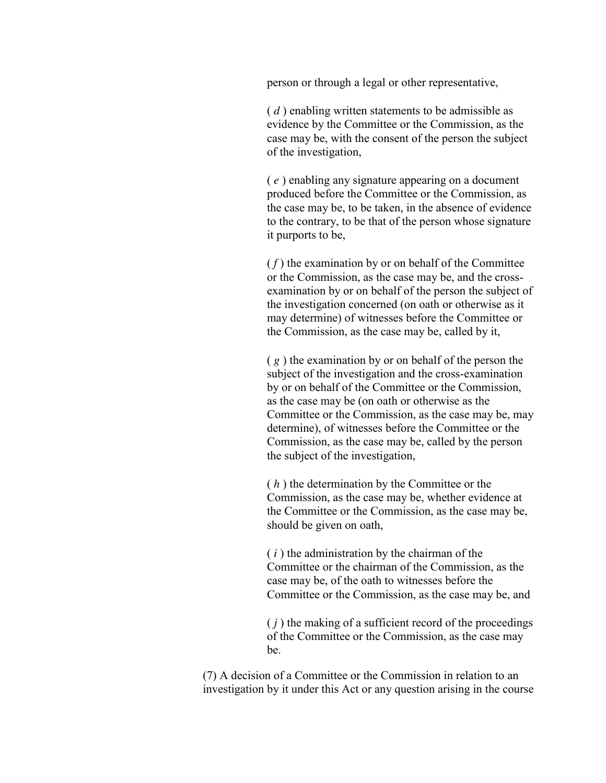person or through a legal or other representative,

( *d* ) enabling written statements to be admissible as evidence by the Committee or the Commission, as the case may be, with the consent of the person the subject of the investigation,

( *e* ) enabling any signature appearing on a document produced before the Committee or the Commission, as the case may be, to be taken, in the absence of evidence to the contrary, to be that of the person whose signature it purports to be,

 $(f)$  the examination by or on behalf of the Committee or the Commission, as the case may be, and the crossexamination by or on behalf of the person the subject of the investigation concerned (on oath or otherwise as it may determine) of witnesses before the Committee or the Commission, as the case may be, called by it,

( *g* ) the examination by or on behalf of the person the subject of the investigation and the cross-examination by or on behalf of the Committee or the Commission, as the case may be (on oath or otherwise as the Committee or the Commission, as the case may be, may determine), of witnesses before the Committee or the Commission, as the case may be, called by the person the subject of the investigation,

( *h* ) the determination by the Committee or the Commission, as the case may be, whether evidence at the Committee or the Commission, as the case may be, should be given on oath,

( *i* ) the administration by the chairman of the Committee or the chairman of the Commission, as the case may be, of the oath to witnesses before the Committee or the Commission, as the case may be, and

 $(j)$  the making of a sufficient record of the proceedings of the Committee or the Commission, as the case may be.

(7) A decision of a Committee or the Commission in relation to an investigation by it under this Act or any question arising in the course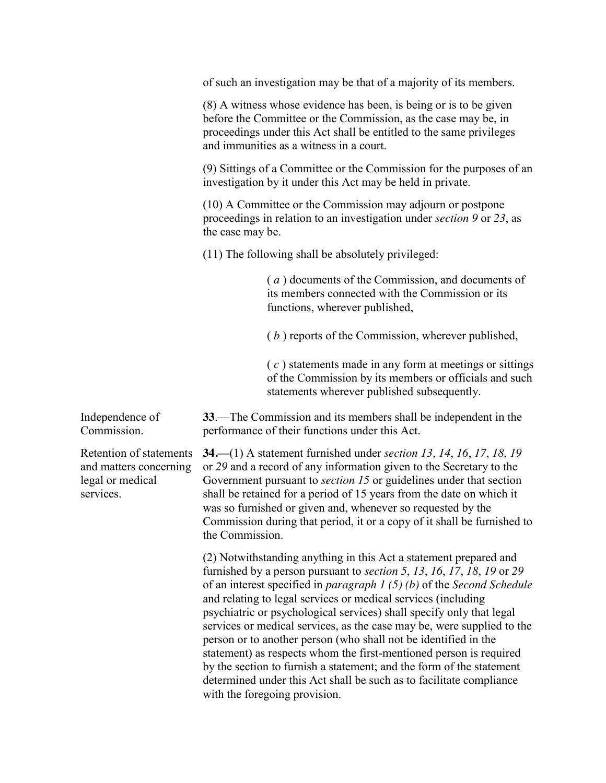of such an investigation may be that of a majority of its members.

(8) A witness whose evidence has been, is being or is to be given before the Committee or the Commission, as the case may be, in proceedings under this Act shall be entitled to the same privileges and immunities as a witness in a court.

(9) Sittings of a Committee or the Commission for the purposes of an investigation by it under this Act may be held in private.

(10) A Committee or the Commission may adjourn or postpone proceedings in relation to an investigation under *section 9* or *23*, as the case may be.

(11) The following shall be absolutely privileged:

( *a* ) documents of the Commission, and documents of its members connected with the Commission or its functions, wherever published,

( *b* ) reports of the Commission, wherever published,

( *c* ) statements made in any form at meetings or sittings of the Commission by its members or officials and such statements wherever published subsequently.

Independence of Commission.

Retention of statements and matters concerning legal or medical services.

**33**.—The Commission and its members shall be independent in the performance of their functions under this Act.

**34.—**(1) A statement furnished under *section 13*, *14*, *16*, *17*, *18*, *19* or *29* and a record of any information given to the Secretary to the Government pursuant to *section 15* or guidelines under that section shall be retained for a period of 15 years from the date on which it was so furnished or given and, whenever so requested by the Commission during that period, it or a copy of it shall be furnished to the Commission.

(2) Notwithstanding anything in this Act a statement prepared and furnished by a person pursuant to *section 5*, *13*, *16*, *17*, *18*, *19* or *29* of an interest specified in *paragraph 1 (5) (b)* of the *Second Schedule* and relating to legal services or medical services (including psychiatric or psychological services) shall specify only that legal services or medical services, as the case may be, were supplied to the person or to another person (who shall not be identified in the statement) as respects whom the first-mentioned person is required by the section to furnish a statement; and the form of the statement determined under this Act shall be such as to facilitate compliance with the foregoing provision.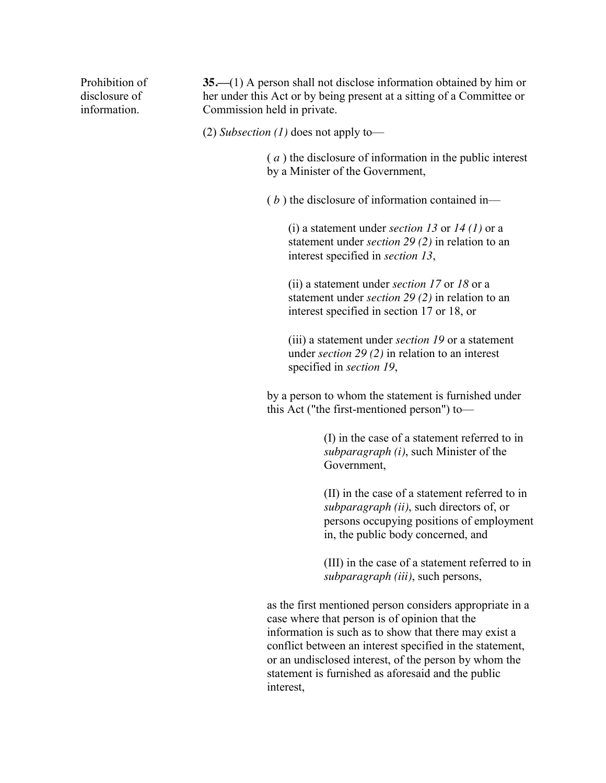Prohibition of disclosure of information.

**35.—**(1) A person shall not disclose information obtained by him or her under this Act or by being present at a sitting of a Committee or Commission held in private.

(2) *Subsection (1)* does not apply to—

( *a* ) the disclosure of information in the public interest by a Minister of the Government,

( *b* ) the disclosure of information contained in—

(i) a statement under *section 13* or *14 (1)* or a statement under *section 29 (2)* in relation to an interest specified in *section 13*,

(ii) a statement under *section 17* or *18* or a statement under *section 29 (2)* in relation to an interest specified in section 17 or 18, or

(iii) a statement under *section 19* or a statement under *section 29 (2)* in relation to an interest specified in *section 19*,

by a person to whom the statement is furnished under this Act ("the first-mentioned person") to—

> (I) in the case of a statement referred to in *subparagraph (i)*, such Minister of the Government,

(II) in the case of a statement referred to in *subparagraph (ii)*, such directors of, or persons occupying positions of employment in, the public body concerned, and

(III) in the case of a statement referred to in *subparagraph (iii)*, such persons,

as the first mentioned person considers appropriate in a case where that person is of opinion that the information is such as to show that there may exist a conflict between an interest specified in the statement, or an undisclosed interest, of the person by whom the statement is furnished as aforesaid and the public interest,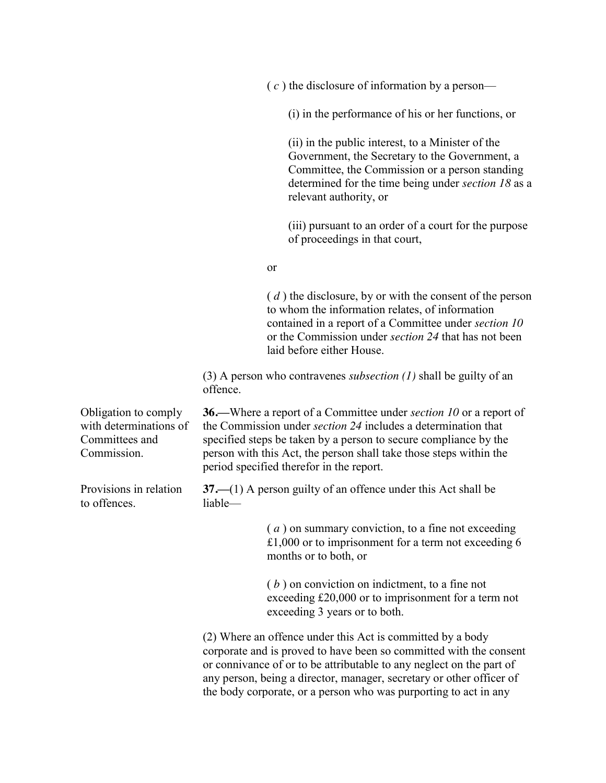( *c* ) the disclosure of information by a person—

(i) in the performance of his or her functions, or

(ii) in the public interest, to a Minister of the Government, the Secretary to the Government, a Committee, the Commission or a person standing determined for the time being under *section 18* as a relevant authority, or

(iii) pursuant to an order of a court for the purpose of proceedings in that court,

#### or

( *d* ) the disclosure, by or with the consent of the person to whom the information relates, of information contained in a report of a Committee under *section 10* or the Commission under *section 24* that has not been laid before either House.

(3) A person who contravenes *subsection (1)* shall be guilty of an offence.

Obligation to comply **36.—**Where a report of a Committee under *section 10* or a report of the Commission under *section 24* includes a determination that specified steps be taken by a person to secure compliance by the person with this Act, the person shall take those steps within the period specified therefor in the report.

> **37.—**(1) A person guilty of an offence under this Act shall be liable—

> > ( *a* ) on summary conviction, to a fine not exceeding £1,000 or to imprisonment for a term not exceeding 6 months or to both, or

( *b* ) on conviction on indictment, to a fine not exceeding £20,000 or to imprisonment for a term not exceeding 3 years or to both.

(2) Where an offence under this Act is committed by a body corporate and is proved to have been so committed with the consent or connivance of or to be attributable to any neglect on the part of any person, being a director, manager, secretary or other officer of the body corporate, or a person who was purporting to act in any

with determinations of Committees and Commission.

Provisions in relation to offences.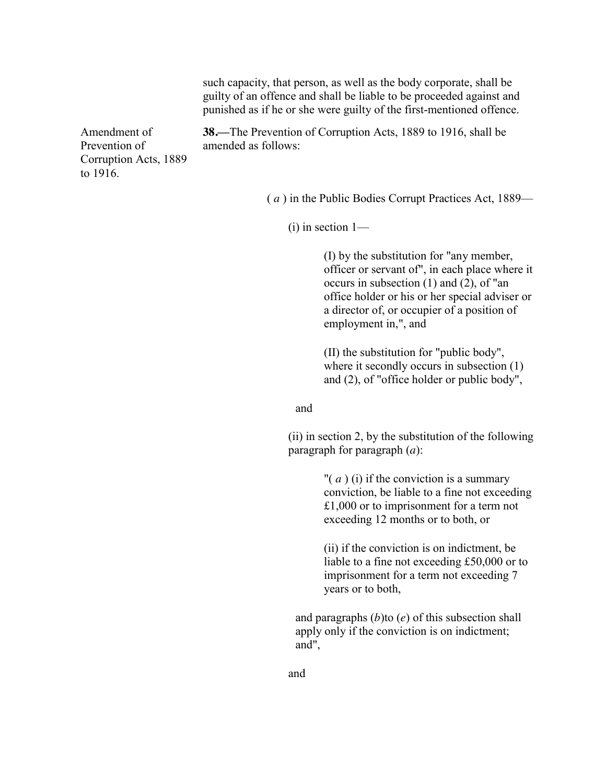|                                                                    |                                                                                            | such capacity, that person, as well as the body corporate, shall be<br>guilty of an offence and shall be liable to be proceeded against and<br>punished as if he or she were guilty of the first-mentioned offence.                                                  |  |
|--------------------------------------------------------------------|--------------------------------------------------------------------------------------------|----------------------------------------------------------------------------------------------------------------------------------------------------------------------------------------------------------------------------------------------------------------------|--|
| Amendment of<br>Prevention of<br>Corruption Acts, 1889<br>to 1916. | amended as follows:                                                                        | <b>38.</b> —The Prevention of Corruption Acts, 1889 to 1916, shall be                                                                                                                                                                                                |  |
|                                                                    |                                                                                            | (a) in the Public Bodies Corrupt Practices Act, 1889—                                                                                                                                                                                                                |  |
| $(i)$ in section 1—                                                |                                                                                            |                                                                                                                                                                                                                                                                      |  |
|                                                                    |                                                                                            | (I) by the substitution for "any member,<br>officer or servant of", in each place where it<br>occurs in subsection $(1)$ and $(2)$ , of "an<br>office holder or his or her special adviser or<br>a director of, or occupier of a position of<br>employment in,", and |  |
|                                                                    |                                                                                            | (II) the substitution for "public body",<br>where it secondly occurs in subsection $(1)$<br>and $(2)$ , of "office holder or public body",                                                                                                                           |  |
|                                                                    | and                                                                                        |                                                                                                                                                                                                                                                                      |  |
|                                                                    | (ii) in section 2, by the substitution of the following<br>paragraph for paragraph $(a)$ : |                                                                                                                                                                                                                                                                      |  |
|                                                                    |                                                                                            | " $(a)$ (i) if the conviction is a summary<br>conviction, be liable to a fine not exceeding<br>£1,000 or to imprisonment for a term not<br>exceeding 12 months or to both, or                                                                                        |  |

(ii) if the conviction is on indictment, be liable to a fine not exceeding £50,000 or to imprisonment for a term not exceeding 7 years or to both,

and paragraphs (*b*)to (*e*) of this subsection shall apply only if the conviction is on indictment; and",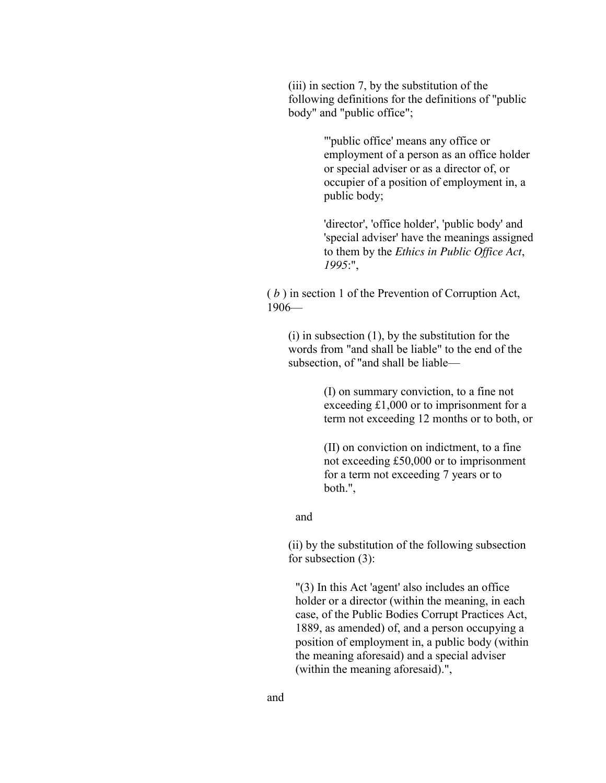(iii) in section 7, by the substitution of the following definitions for the definitions of "public body" and "public office";

> "'public office' means any office or employment of a person as an office holder or special adviser or as a director of, or occupier of a position of employment in, a public body;

'director', 'office holder', 'public body' and 'special adviser' have the meanings assigned to them by the *Ethics in Public Office Act*, *1995*:",

( *b* ) in section 1 of the Prevention of Corruption Act, 1906—

(i) in subsection (1), by the substitution for the words from "and shall be liable" to the end of the subsection, of "and shall be liable—

> (I) on summary conviction, to a fine not exceeding £1,000 or to imprisonment for a term not exceeding 12 months or to both, or

(II) on conviction on indictment, to a fine not exceeding £50,000 or to imprisonment for a term not exceeding 7 years or to both.",

and

(ii) by the substitution of the following subsection for subsection (3):

"(3) In this Act 'agent' also includes an office holder or a director (within the meaning, in each case, of the Public Bodies Corrupt Practices Act, 1889, as amended) of, and a person occupying a position of employment in, a public body (within the meaning aforesaid) and a special adviser (within the meaning aforesaid).",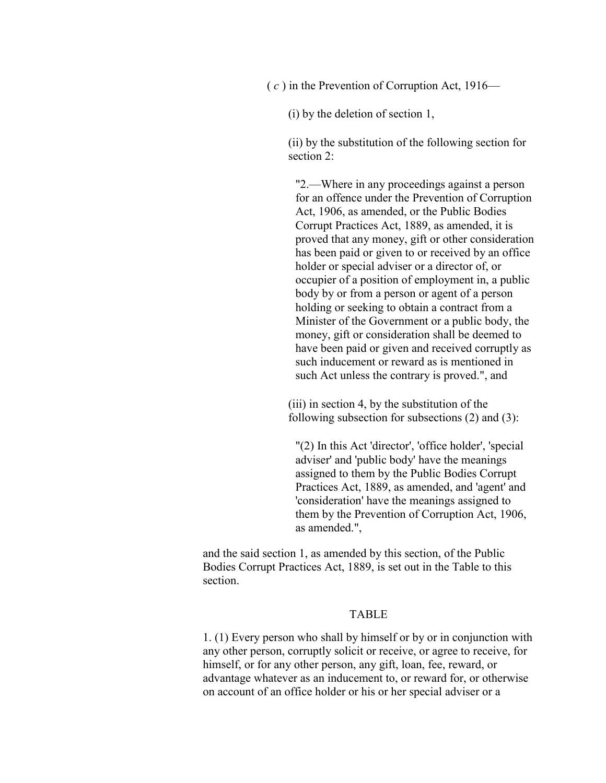( *c* ) in the Prevention of Corruption Act, 1916—

(i) by the deletion of section 1,

(ii) by the substitution of the following section for section 2:

"2.—Where in any proceedings against a person for an offence under the Prevention of Corruption Act, 1906, as amended, or the Public Bodies Corrupt Practices Act, 1889, as amended, it is proved that any money, gift or other consideration has been paid or given to or received by an office holder or special adviser or a director of, or occupier of a position of employment in, a public body by or from a person or agent of a person holding or seeking to obtain a contract from a Minister of the Government or a public body, the money, gift or consideration shall be deemed to have been paid or given and received corruptly as such inducement or reward as is mentioned in such Act unless the contrary is proved.", and

(iii) in section 4, by the substitution of the following subsection for subsections (2) and (3):

"(2) In this Act 'director', 'office holder', 'special adviser' and 'public body' have the meanings assigned to them by the Public Bodies Corrupt Practices Act, 1889, as amended, and 'agent' and 'consideration' have the meanings assigned to them by the Prevention of Corruption Act, 1906, as amended.",

and the said section 1, as amended by this section, of the Public Bodies Corrupt Practices Act, 1889, is set out in the Table to this section.

#### TABLE

1. (1) Every person who shall by himself or by or in conjunction with any other person, corruptly solicit or receive, or agree to receive, for himself, or for any other person, any gift, loan, fee, reward, or advantage whatever as an inducement to, or reward for, or otherwise on account of an office holder or his or her special adviser or a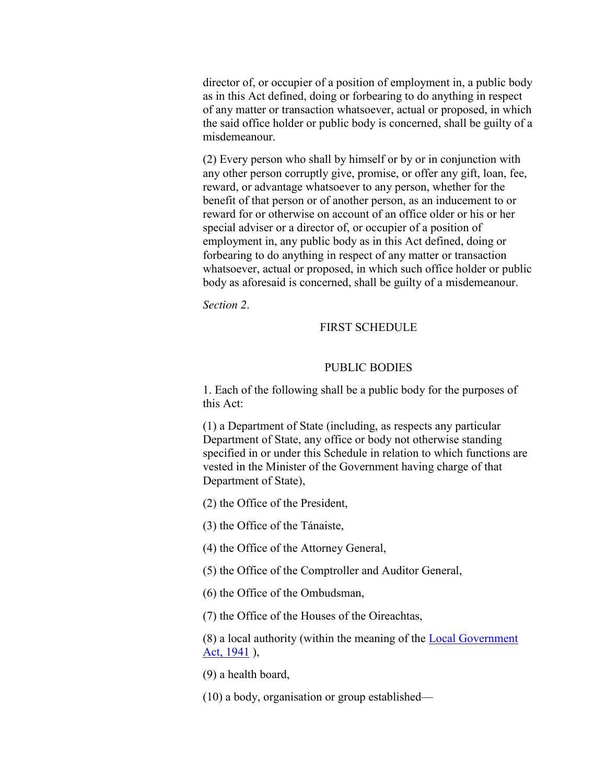director of, or occupier of a position of employment in, a public body as in this Act defined, doing or forbearing to do anything in respect of any matter or transaction whatsoever, actual or proposed, in which the said office holder or public body is concerned, shall be guilty of a misdemeanour.

(2) Every person who shall by himself or by or in conjunction with any other person corruptly give, promise, or offer any gift, loan, fee, reward, or advantage whatsoever to any person, whether for the benefit of that person or of another person, as an inducement to or reward for or otherwise on account of an office older or his or her special adviser or a director of, or occupier of a position of employment in, any public body as in this Act defined, doing or forbearing to do anything in respect of any matter or transaction whatsoever, actual or proposed, in which such office holder or public body as aforesaid is concerned, shall be guilty of a misdemeanour.

*Section 2*.

#### FIRST SCHEDULE

#### PUBLIC BODIES

1. Each of the following shall be a public body for the purposes of this Act:

(1) a Department of State (including, as respects any particular Department of State, any office or body not otherwise standing specified in or under this Schedule in relation to which functions are vested in the Minister of the Government having charge of that Department of State),

(2) the Office of the President,

(3) the Office of the Tánaiste,

(4) the Office of the Attorney General,

(5) the Office of the Comptroller and Auditor General,

(6) the Office of the Ombudsman,

(7) the Office of the Houses of the Oireachtas,

(8) a local authority (within the meaning of the [Local Government](http://www.irishstatutebook.ie/1941/en/act/pub/0023/index.html#zza23y1941)  [Act, 1941](http://www.irishstatutebook.ie/1941/en/act/pub/0023/index.html#zza23y1941)),

(9) a health board,

(10) a body, organisation or group established—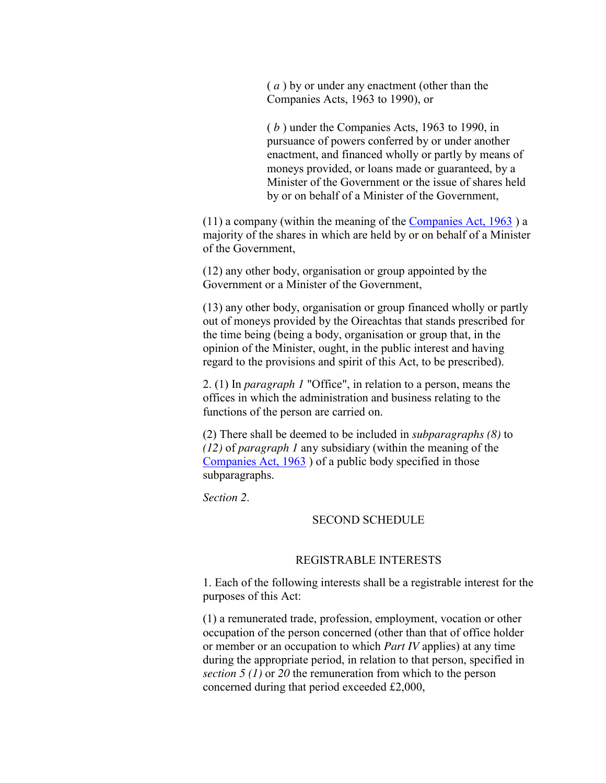( *a* ) by or under any enactment (other than the Companies Acts, 1963 to 1990), or

( *b* ) under the Companies Acts, 1963 to 1990, in pursuance of powers conferred by or under another enactment, and financed wholly or partly by means of moneys provided, or loans made or guaranteed, by a Minister of the Government or the issue of shares held by or on behalf of a Minister of the Government,

(11) a company (within the meaning of the [Companies Act, 1963](http://www.irishstatutebook.ie/1963/en/act/pub/0033/index.html#zza33y1963) ) a majority of the shares in which are held by or on behalf of a Minister of the Government,

(12) any other body, organisation or group appointed by the Government or a Minister of the Government,

(13) any other body, organisation or group financed wholly or partly out of moneys provided by the Oireachtas that stands prescribed for the time being (being a body, organisation or group that, in the opinion of the Minister, ought, in the public interest and having regard to the provisions and spirit of this Act, to be prescribed).

2. (1) In *paragraph 1* "Office", in relation to a person, means the offices in which the administration and business relating to the functions of the person are carried on.

(2) There shall be deemed to be included in *subparagraphs (8)* to *(12)* of *paragraph 1* any subsidiary (within the meaning of the [Companies Act, 1963](http://www.irishstatutebook.ie/1963/en/act/pub/0033/index.html#zza33y1963) ) of a public body specified in those subparagraphs.

*Section 2*.

#### SECOND SCHEDULE

#### REGISTRABLE INTERESTS

1. Each of the following interests shall be a registrable interest for the purposes of this Act:

(1) a remunerated trade, profession, employment, vocation or other occupation of the person concerned (other than that of office holder or member or an occupation to which *Part IV* applies) at any time during the appropriate period, in relation to that person, specified in *section 5 (1)* or *20* the remuneration from which to the person concerned during that period exceeded £2,000,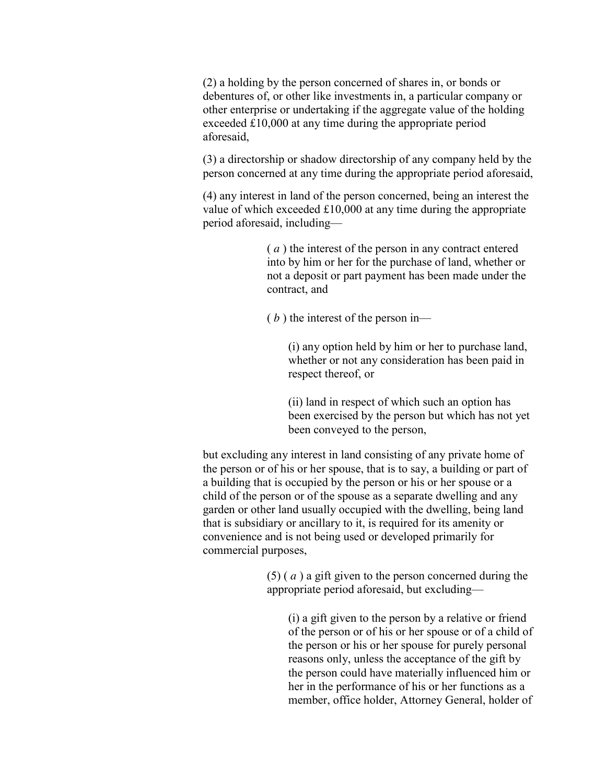(2) a holding by the person concerned of shares in, or bonds or debentures of, or other like investments in, a particular company or other enterprise or undertaking if the aggregate value of the holding exceeded £10,000 at any time during the appropriate period aforesaid,

(3) a directorship or shadow directorship of any company held by the person concerned at any time during the appropriate period aforesaid,

(4) any interest in land of the person concerned, being an interest the value of which exceeded £10,000 at any time during the appropriate period aforesaid, including—

> ( *a* ) the interest of the person in any contract entered into by him or her for the purchase of land, whether or not a deposit or part payment has been made under the contract, and

( *b* ) the interest of the person in—

(i) any option held by him or her to purchase land, whether or not any consideration has been paid in respect thereof, or

(ii) land in respect of which such an option has been exercised by the person but which has not yet been conveyed to the person,

but excluding any interest in land consisting of any private home of the person or of his or her spouse, that is to say, a building or part of a building that is occupied by the person or his or her spouse or a child of the person or of the spouse as a separate dwelling and any garden or other land usually occupied with the dwelling, being land that is subsidiary or ancillary to it, is required for its amenity or convenience and is not being used or developed primarily for commercial purposes,

> (5) ( *a* ) a gift given to the person concerned during the appropriate period aforesaid, but excluding—

(i) a gift given to the person by a relative or friend of the person or of his or her spouse or of a child of the person or his or her spouse for purely personal reasons only, unless the acceptance of the gift by the person could have materially influenced him or her in the performance of his or her functions as a member, office holder, Attorney General, holder of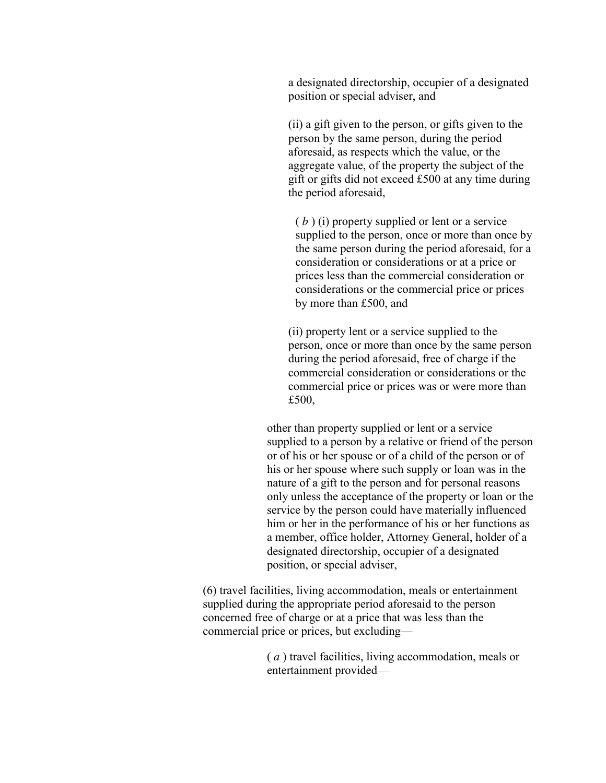a designated directorship, occupier of a designated position or special adviser, and

(ii) a gift given to the person, or gifts given to the person by the same person, during the period aforesaid, as respects which the value, or the aggregate value, of the property the subject of the gift or gifts did not exceed £500 at any time during the period aforesaid,

( *b* ) (i) property supplied or lent or a service supplied to the person, once or more than once by the same person during the period aforesaid, for a consideration or considerations or at a price or prices less than the commercial consideration or considerations or the commercial price or prices by more than £500, and

(ii) property lent or a service supplied to the person, once or more than once by the same person during the period aforesaid, free of charge if the commercial consideration or considerations or the commercial price or prices was or were more than £500,

other than property supplied or lent or a service supplied to a person by a relative or friend of the person or of his or her spouse or of a child of the person or of his or her spouse where such supply or loan was in the nature of a gift to the person and for personal reasons only unless the acceptance of the property or loan or the service by the person could have materially influenced him or her in the performance of his or her functions as a member, office holder, Attorney General, holder of a designated directorship, occupier of a designated position, or special adviser,

(6) travel facilities, living accommodation, meals or entertainment supplied during the appropriate period aforesaid to the person concerned free of charge or at a price that was less than the commercial price or prices, but excluding—

> ( *a* ) travel facilities, living accommodation, meals or entertainment provided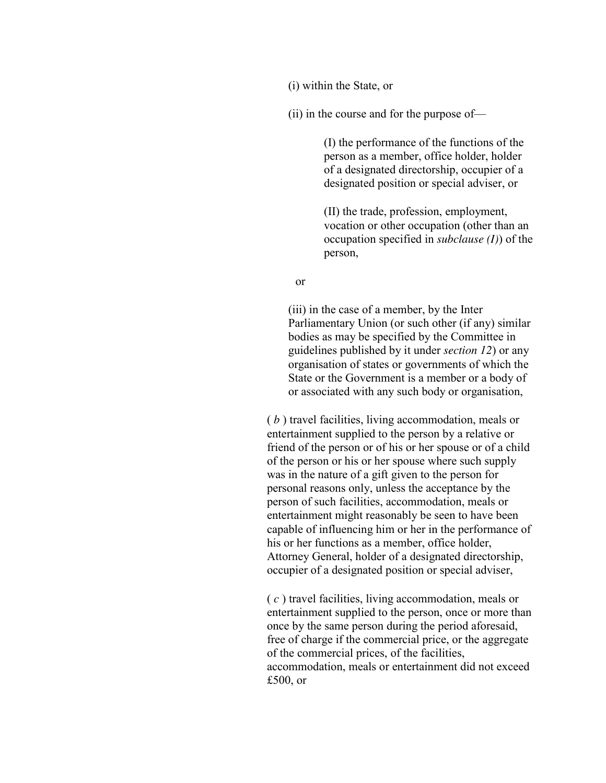(i) within the State, or

(ii) in the course and for the purpose of—

(I) the performance of the functions of the person as a member, office holder, holder of a designated directorship, occupier of a designated position or special adviser, or

(II) the trade, profession, employment, vocation or other occupation (other than an occupation specified in *subclause (I)*) of the person,

or

(iii) in the case of a member, by the Inter Parliamentary Union (or such other (if any) similar bodies as may be specified by the Committee in guidelines published by it under *section 12*) or any organisation of states or governments of which the State or the Government is a member or a body of or associated with any such body or organisation,

( *b* ) travel facilities, living accommodation, meals or entertainment supplied to the person by a relative or friend of the person or of his or her spouse or of a child of the person or his or her spouse where such supply was in the nature of a gift given to the person for personal reasons only, unless the acceptance by the person of such facilities, accommodation, meals or entertainment might reasonably be seen to have been capable of influencing him or her in the performance of his or her functions as a member, office holder, Attorney General, holder of a designated directorship, occupier of a designated position or special adviser,

( *c* ) travel facilities, living accommodation, meals or entertainment supplied to the person, once or more than once by the same person during the period aforesaid, free of charge if the commercial price, or the aggregate of the commercial prices, of the facilities, accommodation, meals or entertainment did not exceed £500, or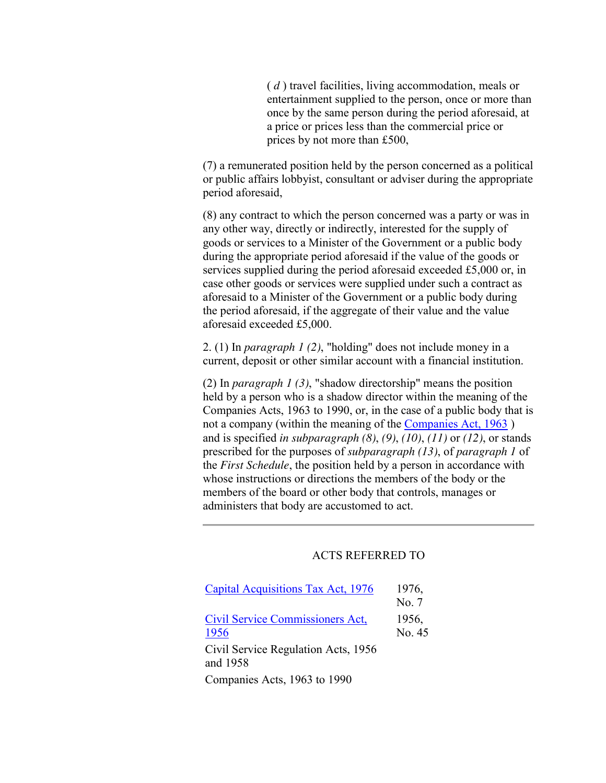( *d* ) travel facilities, living accommodation, meals or entertainment supplied to the person, once or more than once by the same person during the period aforesaid, at a price or prices less than the commercial price or prices by not more than £500,

(7) a remunerated position held by the person concerned as a political or public affairs lobbyist, consultant or adviser during the appropriate period aforesaid,

(8) any contract to which the person concerned was a party or was in any other way, directly or indirectly, interested for the supply of goods or services to a Minister of the Government or a public body during the appropriate period aforesaid if the value of the goods or services supplied during the period aforesaid exceeded £5,000 or, in case other goods or services were supplied under such a contract as aforesaid to a Minister of the Government or a public body during the period aforesaid, if the aggregate of their value and the value aforesaid exceeded £5,000.

2. (1) In *paragraph 1 (2)*, "holding" does not include money in a current, deposit or other similar account with a financial institution.

(2) In *paragraph 1 (3)*, "shadow directorship" means the position held by a person who is a shadow director within the meaning of the Companies Acts, 1963 to 1990, or, in the case of a public body that is not a company (within the meaning of the [Companies Act, 1963](http://www.irishstatutebook.ie/1963/en/act/pub/0033/index.html#zza33y1963) ) and is specified *in subparagraph (8)*, *(9)*, *(10)*, *(11)* or *(12)*, or stands prescribed for the purposes of *subparagraph (13)*, of *paragraph 1* of the *First Schedule*, the position held by a person in accordance with whose instructions or directions the members of the body or the members of the board or other body that controls, manages or administers that body are accustomed to act.

### ACTS REFERRED TO

| <b>Capital Acquisitions Tax Act, 1976</b> | 1976,  |
|-------------------------------------------|--------|
|                                           | No. 7  |
| <b>Civil Service Commissioners Act.</b>   | 1956,  |
| 1956                                      | No. 45 |
| Civil Service Regulation Acts, 1956       |        |
| and 1958                                  |        |
| Companies Acts, 1963 to 1990              |        |